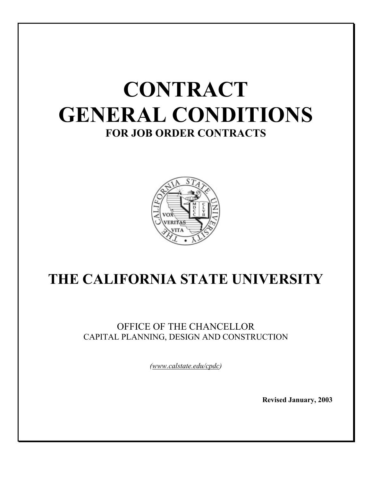

# **THE CALIFORNIA STATE UNIVERSITY**

# OFFICE OF THE CHANCELLOR CAPITAL PLANNING, DESIGN AND CONSTRUCTION

*(www.calstate.edu/cpdc)* 

**Revised January, 2003**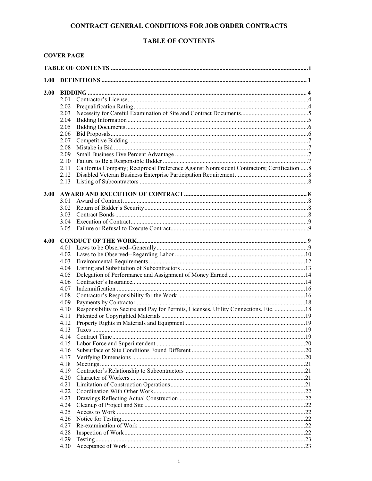# **TABLE OF CONTENTS**

# **COVER PAGE**

| 1.00 |       |                                                                                             |  |
|------|-------|---------------------------------------------------------------------------------------------|--|
| 2.00 |       |                                                                                             |  |
|      | 2.01  |                                                                                             |  |
|      | 2.02  |                                                                                             |  |
|      | 2.03  |                                                                                             |  |
|      | 2.04  |                                                                                             |  |
|      | 2.05  |                                                                                             |  |
|      | 2.06  |                                                                                             |  |
|      | 2.07  |                                                                                             |  |
|      | 2.08  |                                                                                             |  |
|      | 2.09  |                                                                                             |  |
|      | 2.10  |                                                                                             |  |
|      | 2.11  | California Company; Reciprocal Preference Against Nonresident Contractors; Certification  8 |  |
|      |       |                                                                                             |  |
|      | 2.13  |                                                                                             |  |
|      |       |                                                                                             |  |
| 3.00 |       |                                                                                             |  |
|      | 3.01  |                                                                                             |  |
|      | 3.02  |                                                                                             |  |
|      | 3.03  |                                                                                             |  |
|      | 3.04  |                                                                                             |  |
|      | 3.05  |                                                                                             |  |
| 4.00 |       |                                                                                             |  |
|      | 4.01  |                                                                                             |  |
|      |       |                                                                                             |  |
|      | 4.03  |                                                                                             |  |
|      | 4.04  |                                                                                             |  |
|      | 4.05  |                                                                                             |  |
|      | 4.06  |                                                                                             |  |
|      | 4.07  |                                                                                             |  |
|      | 4.08  |                                                                                             |  |
|      | 4.09  |                                                                                             |  |
|      | 4.10  | Responsibility to Secure and Pay for Permits, Licenses, Utility Connections, Etc.  18       |  |
|      | 4.11  |                                                                                             |  |
|      | 4.12  |                                                                                             |  |
|      | 4 1 3 |                                                                                             |  |
|      |       |                                                                                             |  |
|      | 4.15  |                                                                                             |  |
|      | 4.16  |                                                                                             |  |
|      | 4.17  |                                                                                             |  |
|      | 4.18  |                                                                                             |  |
|      | 4.19  |                                                                                             |  |
|      | 4.20  |                                                                                             |  |
|      | 4.21  |                                                                                             |  |
|      | 4.22  |                                                                                             |  |
|      | 4.23  |                                                                                             |  |
|      | 4.24  |                                                                                             |  |
|      | 4.25  |                                                                                             |  |
|      | 4.26  |                                                                                             |  |
|      | 4.27  |                                                                                             |  |
|      | 4.28  |                                                                                             |  |
|      | 4.29  |                                                                                             |  |
|      | 4.30  |                                                                                             |  |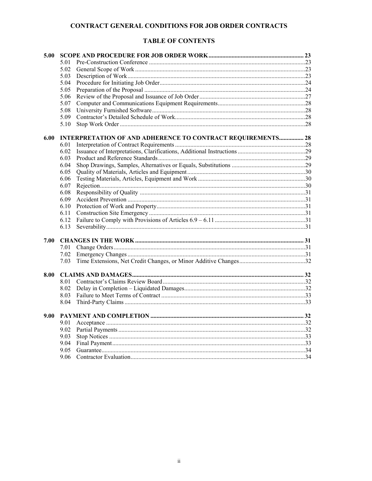# **TABLE OF CONTENTS**

| 5.00 |                                                                    |  |  |  |
|------|--------------------------------------------------------------------|--|--|--|
|      | 501                                                                |  |  |  |
|      | 5.02                                                               |  |  |  |
|      | 5.03                                                               |  |  |  |
|      | 5.04                                                               |  |  |  |
|      | 5.05                                                               |  |  |  |
|      | 5.06                                                               |  |  |  |
|      | 5.07                                                               |  |  |  |
|      | 5.08                                                               |  |  |  |
|      | 5.09                                                               |  |  |  |
|      | 5.10                                                               |  |  |  |
| 6.00 | <b>INTERPRETATION OF AND ADHERENCE TO CONTRACT REQUIREMENTS 28</b> |  |  |  |
|      | 6.01                                                               |  |  |  |
|      | 6.02                                                               |  |  |  |
|      | 6.03                                                               |  |  |  |
|      | 6.04                                                               |  |  |  |
|      | 6.05                                                               |  |  |  |
|      | 6.06                                                               |  |  |  |
|      | 6.07                                                               |  |  |  |
|      | 6.08                                                               |  |  |  |
|      | 6.09                                                               |  |  |  |
|      | 6.10                                                               |  |  |  |
|      | 6.11                                                               |  |  |  |
|      | 6.12                                                               |  |  |  |
|      | 6.13                                                               |  |  |  |
| 7.00 |                                                                    |  |  |  |
|      | 7.01                                                               |  |  |  |
|      | 7.02                                                               |  |  |  |
|      | 7.03                                                               |  |  |  |
| 8.00 |                                                                    |  |  |  |
|      | 8.01                                                               |  |  |  |
|      | 8.02                                                               |  |  |  |
|      | 8.03                                                               |  |  |  |
|      | 8.04                                                               |  |  |  |
| 9.00 |                                                                    |  |  |  |
|      | 9.01                                                               |  |  |  |
|      | 9.02                                                               |  |  |  |
|      | 9.03                                                               |  |  |  |
|      | 9.04                                                               |  |  |  |
|      | 9.05                                                               |  |  |  |
|      | 9.06                                                               |  |  |  |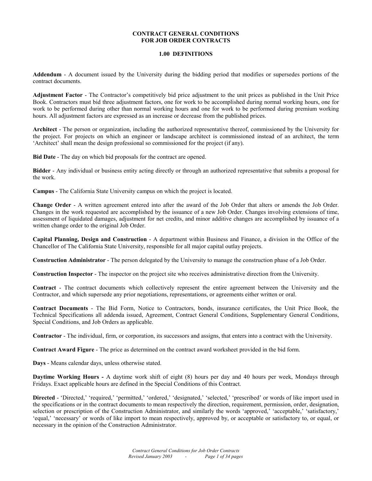# **1.00 DEFINITIONS**

**Addendum** - A document issued by the University during the bidding period that modifies or supersedes portions of the contract documents.

**Adjustment Factor** - The Contractor's competitively bid price adjustment to the unit prices as published in the Unit Price Book. Contractors must bid three adjustment factors, one for work to be accomplished during normal working hours, one for work to be performed during other than normal working hours and one for work to be performed during premium working hours. All adjustment factors are expressed as an increase or decrease from the published prices.

**Architect** - The person or organization, including the authorized representative thereof, commissioned by the University for the project. For projects on which an engineer or landscape architect is commissioned instead of an architect, the term 'Architect' shall mean the design professional so commissioned for the project (if any).

**Bid Date** - The day on which bid proposals for the contract are opened.

**Bidder** - Any individual or business entity acting directly or through an authorized representative that submits a proposal for the work.

**Campus** - The California State University campus on which the project is located.

**Change Order** - A written agreement entered into after the award of the Job Order that alters or amends the Job Order. Changes in the work requested are accomplished by the issuance of a new Job Order. Changes involving extensions of time, assessment of liquidated damages, adjustment for net credits, and minor additive changes are accomplished by issuance of a written change order to the original Job Order.

**Capital Planning, Design and Construction** - A department within Business and Finance, a division in the Office of the Chancellor of The California State University, responsible for all major capital outlay projects.

**Construction Administrator** - The person delegated by the University to manage the construction phase of a Job Order.

**Construction Inspector** - The inspector on the project site who receives administrative direction from the University.

**Contract** - The contract documents which collectively represent the entire agreement between the University and the Contractor, and which supersede any prior negotiations, representations, or agreements either written or oral.

**Contract Documents** - The Bid Form, Notice to Contractors, bonds, insurance certificates, the Unit Price Book, the Technical Specifications all addenda issued, Agreement, Contract General Conditions, Supplementary General Conditions, Special Conditions, and Job Orders as applicable.

**Contractor** - The individual, firm, or corporation, its successors and assigns, that enters into a contract with the University.

**Contract Award Figure** - The price as determined on the contract award worksheet provided in the bid form.

**Days** - Means calendar days, unless otherwise stated.

**Daytime Working Hours -** A daytime work shift of eight (8) hours per day and 40 hours per week, Mondays through Fridays. Exact applicable hours are defined in the Special Conditions of this Contract.

Directed - 'Directed,' 'required,' 'permitted,' 'ordered,' 'designated,' 'selected,' 'prescribed' or words of like import used in the specifications or in the contract documents to mean respectively the direction, requirement, permission, order, designation, selection or prescription of the Construction Administrator, and similarly the words 'approved,' 'acceptable,' 'satisfactory,' 'equal,' 'necessary' or words of like import to mean respectively, approved by, or acceptable or satisfactory to, or equal, or necessary in the opinion of the Construction Administrator.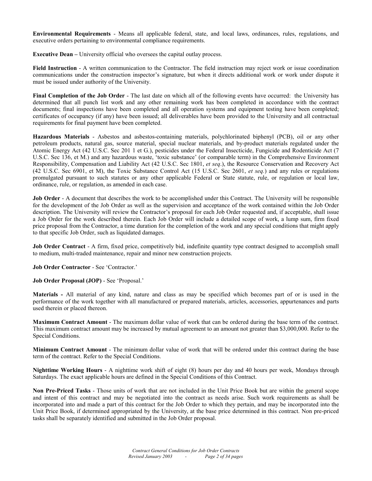**Environmental Requirements** - Means all applicable federal, state, and local laws, ordinances, rules, regulations, and executive orders pertaining to environmental compliance requirements.

**Executive Dean –** University official who oversees the capital outlay process.

**Field Instruction** - A written communication to the Contractor. The field instruction may reject work or issue coordination communications under the construction inspector's signature, but when it directs additional work or work under dispute it must be issued under authority of the University.

**Final Completion of the Job Order** - The last date on which all of the following events have occurred: the University has determined that all punch list work and any other remaining work has been completed in accordance with the contract documents; final inspections have been completed and all operation systems and equipment testing have been completed; certificates of occupancy (if any) have been issued; all deliverables have been provided to the University and all contractual requirements for final payment have been completed.

**Hazardous Materials** - Asbestos and asbestos-containing materials, polychlorinated biphenyl (PCB), oil or any other petroleum products, natural gas, source material, special nuclear materials, and by-product materials regulated under the Atomic Energy Act (42 U.S.C. Sec 201 1 et G.), pesticides under the Federal Insecticide, Fungicide and Rodenticide Act (7 U.S.C. Sec 136, et M.) and any hazardous waste, 'toxic substance' (or comparable term) in the Comprehensive Environment Responsibility, Compensation and Liability Act (42 U.S.C. Sec 1801, *et seq*.), the Resource Conservation and Recovery Act (42 U.S.C. Sec 6901, et M), the Toxic Substance Control Act (15 U.S.C. Sec 2601, *et seq.*) and any rules or regulations promulgated pursuant to such statutes or any other applicable Federal or State statute, rule, or regulation or local law, ordinance, rule, or regulation, as amended in each case.

**Job Order** - A document that describes the work to be accomplished under this Contract. The University will be responsible for the development of the Job Order as well as the supervision and acceptance of the work contained within the Job Order description. The University will review the Contractor's proposal for each Job Order requested and, if acceptable, shall issue a Job Order for the work described therein. Each Job Order will include a detailed scope of work, a lump sum, firm fixed price proposal from the Contractor, a time duration for the completion of the work and any special conditions that might apply to that specific Job Order, such as liquidated damages.

**Job Order Contract** - A firm, fixed price, competitively bid, indefinite quantity type contract designed to accomplish small to medium, multi-traded maintenance, repair and minor new construction projects.

**Job Order Contractor** - See 'Contractor.'

**Job Order Proposal (JOP)** - See 'Proposal.'

**Materials -** All material of any kind, nature and class as may be specified which becomes part of or is used in the performance of the work together with all manufactured or prepared materials, articles, accessories, appurtenances and parts used therein or placed thereon.

**Maximum Contract Amount** - The maximum dollar value of work that can be ordered during the base term of the contract. This maximum contract amount may be increased by mutual agreement to an amount not greater than \$3,000,000. Refer to the Special Conditions.

**Minimum Contract Amount** - The minimum dollar value of work that will be ordered under this contract during the base term of the contract. Refer to the Special Conditions.

**Nighttime Working Hours** - A nighttime work shift of eight (8) hours per day and 40 hours per week, Mondays through Saturdays. The exact applicable hours are defined in the Special Conditions of this Contract.

**Non Pre-Priced Tasks** - Those units of work that are not included in the Unit Price Book but are within the general scope and intent of this contract and may be negotiated into the contract as needs arise. Such work requirements as shall be incorporated into and made a part of this contract for the Job Order to which they pertain, and may be incorporated into the Unit Price Book, if determined appropriated by the University, at the base price determined in this contract. Non pre-priced tasks shall be separately identified and submitted in the Job Order proposal.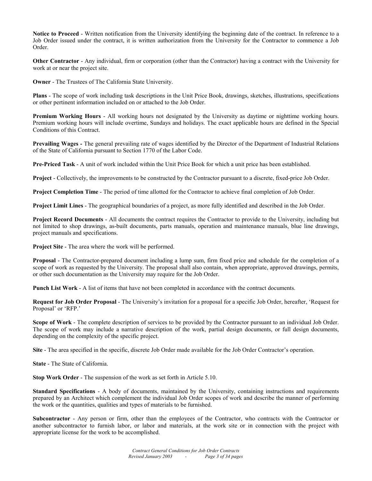**Notice to Proceed** - Written notification from the University identifying the beginning date of the contract. In reference to a Job Order issued under the contract, it is written authorization from the University for the Contractor to commence a Job Order.

**Other Contractor** - Any individual, firm or corporation (other than the Contractor) having a contract with the University for work at or near the project site.

**Owner** - The Trustees of The California State University.

**Plans** - The scope of work including task descriptions in the Unit Price Book, drawings, sketches, illustrations, specifications or other pertinent information included on or attached to the Job Order.

**Premium Working Hours** - All working hours not designated by the University as daytime or nighttime working hours. Premium working hours will include overtime, Sundays and holidays. The exact applicable hours are defined in the Special Conditions of this Contract.

**Prevailing Wages -** The general prevailing rate of wages identified by the Director of the Department of Industrial Relations of the State of California pursuant to Section 1770 of the Labor Code.

**Pre-Priced Task** - A unit of work included within the Unit Price Book for which a unit price has been established.

**Project** - Collectively, the improvements to be constructed by the Contractor pursuant to a discrete, fixed-price Job Order.

**Project Completion Time** - The period of time allotted for the Contractor to achieve final completion of Job Order.

**Project Limit Lines** - The geographical boundaries of a project, as more fully identified and described in the Job Order.

**Project Record Documents** - All documents the contract requires the Contractor to provide to the University, including but not limited to shop drawings, as-built documents, parts manuals, operation and maintenance manuals, blue line drawings, project manuals and specifications.

**Project Site** - The area where the work will be performed.

**Proposal** - The Contractor-prepared document including a lump sum, firm fixed price and schedule for the completion of a scope of work as requested by the University. The proposal shall also contain, when appropriate, approved drawings, permits, or other such documentation as the University may require for the Job Order.

**Punch List Work** - A list of items that have not been completed in accordance with the contract documents.

**Request for Job Order Proposal** - The University's invitation for a proposal for a specific Job Order, hereafter, 'Request for Proposal' or 'RFP.'

**Scope of Work** - The complete description of services to be provided by the Contractor pursuant to an individual Job Order. The scope of work may include a narrative description of the work, partial design documents, or full design documents, depending on the complexity of the specific project.

**Site** - The area specified in the specific, discrete Job Order made available for the Job Order Contractor's operation.

**State** - The State of California.

**Stop Work Order** - The suspension of the work as set forth in Article 5.10.

**Standard Specifications** - A body of documents, maintained by the University, containing instructions and requirements prepared by an Architect which complement the individual Job Order scopes of work and describe the manner of performing the work or the quantities, qualities and types of materials to be furnished.

**Subcontractor** - Any person or firm, other than the employees of the Contractor, who contracts with the Contractor or another subcontractor to furnish labor, or labor and materials, at the work site or in connection with the project with appropriate license for the work to be accomplished.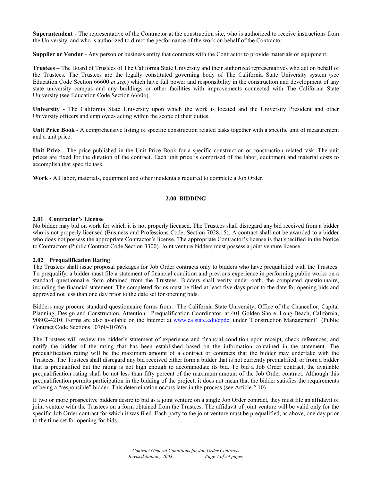**Superintendent** - The representative of the Contractor at the construction site, who is authorized to receive instructions from the University, and who is authorized to direct the performance of the work on behalf of the Contractor.

**Supplier or Vendor** - Any person or business entity that contracts with the Contractor to provide materials or equipment.

**Trustees** – The Board of Trustees of The California State University and their authorized representatives who act on behalf of the Trustees. The Trustees are the legally constituted governing body of The California State University system (see Education Code Section 66600 *et seq.*) which have full power and responsibility in the construction and development of any state university campus and any buildings or other facilities with improvements connected with The California State University (see Education Code Section 66606).

**University** - The California State University upon which the work is located and the University President and other University officers and employees acting within the scope of their duties.

**Unit Price Book** - A comprehensive listing of specific construction related tasks together with a specific unit of measurement and a unit price.

**Unit Price** - The price published in the Unit Price Book for a specific construction or construction related task. The unit prices are fixed for the duration of the contract. Each unit price is comprised of the labor, equipment and material costs to accomplish that specific task.

**Work** - All labor, materials, equipment and other incidentals required to complete a Job Order.

# **2.00 BIDDING**

# **2.01 Contractor's License**

No bidder may bid on work for which it is not properly licensed. The Trustees shall disregard any bid received from a bidder who is not properly licensed (Business and Professions Code, Section 7028.15). A contract shall not be awarded to a bidder who does not possess the appropriate Contractor's license. The appropriate Contractor's license is that specified in the Notice to Contractors (Public Contract Code Section 3300). Joint venture bidders must possess a joint venture license.

# **2.02 Prequalification Rating**

The Trustees shall issue proposal packages for Job Order contracts only to bidders who have prequalified with the Trustees. To prequalify, a bidder must file a statement of financial condition and previous experience in performing public works on a standard questionnaire form obtained from the Trustees. Bidders shall verify under oath, the completed questionnaire, including the financial statement. The completed forms must be filed at least five days prior to the date for opening bids and approved not less than one day prior to the date set for opening bids.

Bidders may procure standard questionnaire forms from: The California State University, Office of the Chancellor, Capital Planning, Design and Construction, Attention: Prequalification Coordinator, at 401 Golden Shore, Long Beach, California, 90802-4210. Forms are also available on the Internet at www.calstate.edu/cpdc, under 'Construction Management' (Public Contract Code Sections 10760-10763).

The Trustees will review the bidder's statement of experience and financial condition upon receipt, check references, and notify the bidder of the rating that has been established based on the information contained in the statement. The prequalification rating will be the maximum amount of a contract or contracts that the bidder may undertake with the Trustees. The Trustees shall disregard any bid received either form a bidder that is not currently prequalified, or from a bidder that is prequalified but the rating is not high enough to accommodate its bid. To bid a Job Order contract, the available prequalification rating shall be not less than fifty percent of the maximum amount of the Job Order contract. Although this prequalification permits participation in the bidding of the project, it does not mean that the bidder satisfies the requirements of being a "responsible" bidder. This determination occurs later in the process (see Article 2.10).

If two or more prospective bidders desire to bid as a joint venture on a single Job Order contract, they must file an affidavit of joint venture with the Trustees on a form obtained from the Trustees. The affidavit of joint venture will be valid only for the specific Job Order contract for which it was filed. Each party to the joint venture must be prequalified, as above, one day prior to the time set for opening for bids.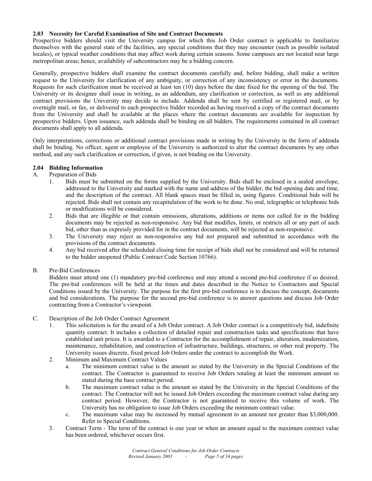# **2.03 Necessity for Careful Examination of Site and Contract Documents**

Prospective bidders should visit the University campus for which this Job Order contract is applicable to familiarize themselves with the general state of the facilities, any special conditions that they may encounter (such as possible isolated locales), or typical weather conditions that may affect work during certain seasons. Some campuses are not located near large metropolitan areas; hence, availability of subcontractors may be a bidding concern.

Generally, prospective bidders shall examine the contract documents carefully and, before bidding, shall make a written request to the University for clarification of any ambiguity, or correction of any inconsistency or error in the documents. Requests for such clarification must be received at least ten (10) days before the date fixed for the opening of the bid. The University or its designee shall issue in writing, as an addendum, any clarification or correction, as well as any additional contract provisions the University may decide to include. Addenda shall be sent by certified or registered mail, or by overnight mail, or fax, or delivered to each prospective bidder recorded as having received a copy of the contract documents from the University and shall be available at the places where the contract documents are available for inspection by prospective bidders. Upon issuance, such addenda shall be binding on all bidders. The requirements contained in all contract documents shall apply to all addenda.

Only interpretations, corrections or additional contract provisions made in writing by the University in the form of addenda shall be binding. No officer, agent or employee of the University is authorized to alter the contract documents by any other method, and any such clarification or correction, if given, is not binding on the University.

# **2.04 Bidding Information**

# A. Preparation of Bids

- 1. Bids must be submitted on the forms supplied by the University. Bids shall be enclosed in a sealed envelope, addressed to the University and marked with the name and address of the bidder, the bid opening date and time, and the description of the contract. All blank spaces must be filled in, using figures. Conditional bids will be rejected. Bids shall not contain any recapitulation of the work to be done. No oral, telegraphic or telephonic bids or modifications will be considered.
- 2. Bids that are illegible or that contain omissions, alterations, additions or items not called for in the bidding documents may be rejected as non-responsive. Any bid that modifies, limits, or restricts all or any part of such bid, other than as expressly provided for in the contract documents, will be rejected as non-responsive.
- 3. The University may reject as non-responsive any bid not prepared and submitted in accordance with the provisions of the contract documents.
- 4. Any bid received after the scheduled closing time for receipt of bids shall not be considered and will be returned to the bidder unopened (Public Contract Code Section 10766).

# B. Pre-Bid Conferences

 Bidders must attend one (1) mandatory pre-bid conference and may attend a second pre-bid conference if so desired. The pre-bid conferences will be held at the times and dates described in the Notice to Contractors and Special Conditions issued by the University. The purpose for the first pre-bid conference is to discuss the concept, documents and bid considerations. The purpose for the second pre-bid conference is to answer questions and discuss Job Order contracting from a Contractor's viewpoint.

# C. Description of the Job Order Contract Agreement

- 1. This solicitation is for the award of a Job Order contract. A Job Order contract is a competitively bid, indefinite quantity contract. It includes a collection of detailed repair and construction tasks and specifications that have established unit prices. It is awarded to a Contractor for the accomplishment of repair, alteration, modernization, maintenance, rehabilitation, and construction of infrastructure, buildings, structures, or other real property. The University issues discrete, fixed priced Job Orders under the contract to accomplish the Work.
- 2. Minimum and Maximum Contract Values
	- a. The minimum contract value is the amount so stated by the University in the Special Conditions of the contract. The Contractor is guaranteed to receive Job Orders totaling at least the minimum amount so stated during the base contract period.
	- b. The maximum contract value is the amount so stated by the University in the Special Conditions of the contract. The Contractor will not be issued Job Orders exceeding the maximum contract value during any contract period. However, the Contractor is not guaranteed to receive this volume of work. The University has no obligation to issue Job Orders exceeding the minimum contract value.
	- c. The maximum value may be increased by mutual agreement to an amount not greater than \$3,000,000. Refer to Special Conditions.
- 3. Contract Term The term of the contract is one year or when an amount equal to the maximum contract value has been ordered, whichever occurs first.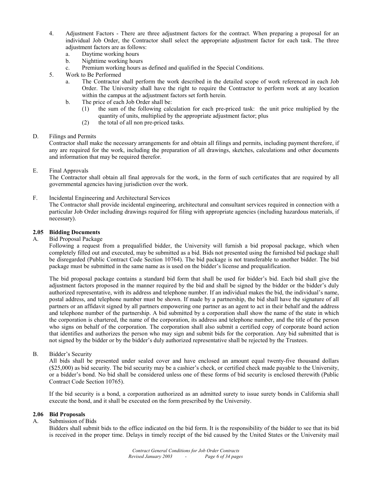- 4. Adjustment Factors There are three adjustment factors for the contract. When preparing a proposal for an individual Job Order, the Contractor shall select the appropriate adjustment factor for each task. The three adjustment factors are as follows:
	- a. Daytime working hours
	- b. Nighttime working hours
	- c. Premium working hours as defined and qualified in the Special Conditions.
- 5. Work to Be Performed
	- a. The Contractor shall perform the work described in the detailed scope of work referenced in each Job Order. The University shall have the right to require the Contractor to perform work at any location within the campus at the adjustment factors set forth herein.
	- b. The price of each Job Order shall be:
		- (1) the sum of the following calculation for each pre-priced task: the unit price multiplied by the quantity of units, multiplied by the appropriate adjustment factor; plus
		- (2) the total of all non pre-priced tasks.

#### D. Filings and Permits

 Contractor shall make the necessary arrangements for and obtain all filings and permits, including payment therefore, if any are required for the work, including the preparation of all drawings, sketches, calculations and other documents and information that may be required therefor.

E. Final Approvals

 The Contractor shall obtain all final approvals for the work, in the form of such certificates that are required by all governmental agencies having jurisdiction over the work.

F. Incidental Engineering and Architectural Services

 The Contractor shall provide incidental engineering, architectural and consultant services required in connection with a particular Job Order including drawings required for filing with appropriate agencies (including hazardous materials, if necessary).

# **2.05 Bidding Documents**

A. Bid Proposal Package

Following a request from a prequalified bidder, the University will furnish a bid proposal package, which when completely filled out and executed, may be submitted as a bid. Bids not presented using the furnished bid package shall be disregarded (Public Contract Code Section 10764). The bid package is not transferable to another bidder. The bid package must be submitted in the same name as is used on the bidder's license and prequalification.

The bid proposal package contains a standard bid form that shall be used for bidder's bid. Each bid shall give the adjustment factors proposed in the manner required by the bid and shall be signed by the bidder or the bidder's duly authorized representative, with its address and telephone number. If an individual makes the bid, the individual's name, postal address, and telephone number must be shown. If made by a partnership, the bid shall have the signature of all partners or an affidavit signed by all partners empowering one partner as an agent to act in their behalf and the address and telephone number of the partnership. A bid submitted by a corporation shall show the name of the state in which the corporation is chartered, the name of the corporation, its address and telephone number, and the title of the person who signs on behalf of the corporation. The corporation shall also submit a certified copy of corporate board action that identifies and authorizes the person who may sign and submit bids for the corporation. Any bid submitted that is not signed by the bidder or by the bidder's duly authorized representative shall be rejected by the Trustees.

B. Bidder's Security

 All bids shall be presented under sealed cover and have enclosed an amount equal twenty-five thousand dollars (\$25,000) as bid security. The bid security may be a cashier's check, or certified check made payable to the University, or a bidder's bond. No bid shall be considered unless one of these forms of bid security is enclosed therewith (Public Contract Code Section 10765).

 If the bid security is a bond, a corporation authorized as an admitted surety to issue surety bonds in California shall execute the bond, and it shall be executed on the form prescribed by the University.

# **2.06 Bid Proposals**

#### A. Submission of Bids

 Bidders shall submit bids to the office indicated on the bid form. It is the responsibility of the bidder to see that its bid is received in the proper time. Delays in timely receipt of the bid caused by the United States or the University mail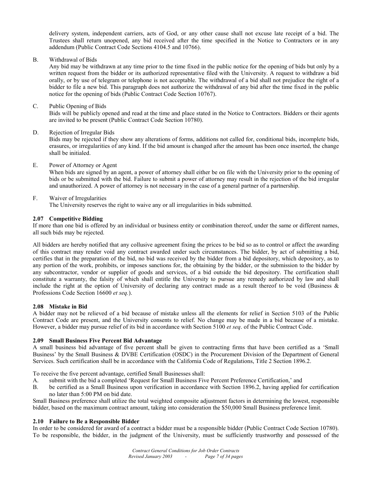delivery system, independent carriers, acts of God, or any other cause shall not excuse late receipt of a bid. The Trustees shall return unopened, any bid received after the time specified in the Notice to Contractors or in any addendum (Public Contract Code Sections 4104.5 and 10766).

B. Withdrawal of Bids

 Any bid may be withdrawn at any time prior to the time fixed in the public notice for the opening of bids but only by a written request from the bidder or its authorized representative filed with the University. A request to withdraw a bid orally, or by use of telegram or telephone is not acceptable. The withdrawal of a bid shall not prejudice the right of a bidder to file a new bid. This paragraph does not authorize the withdrawal of any bid after the time fixed in the public notice for the opening of bids (Public Contract Code Section 10767).

C. Public Opening of Bids

 Bids will be publicly opened and read at the time and place stated in the Notice to Contractors. Bidders or their agents are invited to be present (Public Contract Code Section 10780).

D. Rejection of Irregular Bids

 Bids may be rejected if they show any alterations of forms, additions not called for, conditional bids, incomplete bids, erasures, or irregularities of any kind. If the bid amount is changed after the amount has been once inserted, the change shall be initialed.

E. Power of Attorney or Agent

 When bids are signed by an agent, a power of attorney shall either be on file with the University prior to the opening of bids or be submitted with the bid. Failure to submit a power of attorney may result in the rejection of the bid irregular and unauthorized. A power of attorney is not necessary in the case of a general partner of a partnership.

# F. Waiver of Irregularities

The University reserves the right to waive any or all irregularities in bids submitted.

# **2.07 Competitive Bidding**

If more than one bid is offered by an individual or business entity or combination thereof, under the same or different names, all such bids may be rejected.

All bidders are hereby notified that any collusive agreement fixing the prices to be bid so as to control or affect the awarding of this contract may render void any contract awarded under such circumstances. The bidder, by act of submitting a bid, certifies that in the preparation of the bid, no bid was received by the bidder from a bid depository, which depository, as to any portion of the work, prohibits, or imposes sanctions for, the obtaining by the bidder, or the submission to the bidder by any subcontractor, vendor or supplier of goods and services, of a bid outside the bid depository. The certification shall constitute a warranty, the falsity of which shall entitle the University to pursue any remedy authorized by law and shall include the right at the option of University of declaring any contract made as a result thereof to be void (Business  $\&$ Professions Code Section 16600 *et seq.*).

#### **2.08 Mistake in Bid**

A bidder may not be relieved of a bid because of mistake unless all the elements for relief in Section 5103 of the Public Contract Code are present, and the University consents to relief. No change may be made in a bid because of a mistake. However, a bidder may pursue relief of its bid in accordance with Section 5100 *et seq*. of the Public Contract Code.

# **2.09 Small Business Five Percent Bid Advantage**

A small business bid advantage of five percent shall be given to contracting firms that have been certified as a 'Small Business' by the Small Business & DVBE Certification (OSDC) in the Procurement Division of the Department of General Services. Such certification shall be in accordance with the California Code of Regulations, Title 2 Section 1896.2.

To receive the five percent advantage, certified Small Businesses shall:

- A. submit with the bid a completed 'Request for Small Business Five Percent Preference Certification,' and Business under the percent Preference Certification,' and Business under the percent Preference with Section 1896.2
- be certified as a Small Business upon verification in accordance with Section 1896.2, having applied for certification no later than 5:00 PM on bid date.

Small Business preference shall utilize the total weighted composite adjustment factors in determining the lowest, responsible bidder, based on the maximum contract amount, taking into consideration the \$50,000 Small Business preference limit.

#### **2.10 Failure to Be a Responsible Bidder**

In order to be considered for award of a contract a bidder must be a responsible bidder (Public Contract Code Section 10780). To be responsible, the bidder, in the judgment of the University, must be sufficiently trustworthy and possessed of the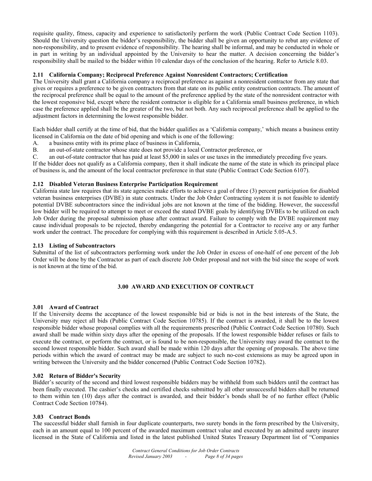requisite quality, fitness, capacity and experience to satisfactorily perform the work (Public Contract Code Section 1103). Should the University question the bidder's responsibility, the bidder shall be given an opportunity to rebut any evidence of non-responsibility, and to present evidence of responsibility. The hearing shall be informal, and may be conducted in whole or in part in writing by an individual appointed by the University to hear the matter. A decision concerning the bidder's responsibility shall be mailed to the bidder within 10 calendar days of the conclusion of the hearing. Refer to Article 8.03.

# **2.11 California Company; Reciprocal Preference Against Nonresident Contractors; Certification**

The University shall grant a California company a reciprocal preference as against a nonresident contractor from any state that gives or requires a preference to be given contractors from that state on its public entity construction contracts. The amount of the reciprocal preference shall be equal to the amount of the preference applied by the state of the nonresident contractor with the lowest responsive bid, except where the resident contractor is eligible for a California small business preference, in which case the preference applied shall be the greater of the two, but not both. Any such reciprocal preference shall be applied to the adjustment factors in determining the lowest responsible bidder.

Each bidder shall certify at the time of bid, that the bidder qualifies as a 'California company,' which means a business entity licensed in California on the date of bid opening and which is one of the following:

- A. a business entity with its prime place of business in California,
- B. an out-of-state contractor whose state does not provide a local Contractor preference, or

C. an out-of-state contractor that has paid at least \$5,000 in sales or use taxes in the immediately preceding five years.

If the bidder does not qualify as a California company, then it shall indicate the name of the state in which its principal place of business is, and the amount of the local contractor preference in that state (Public Contract Code Section 6107).

#### **2.12 Disabled Veteran Business Enterprise Participation Requirement**

California state law requires that its state agencies make efforts to achieve a goal of three (3) percent participation for disabled veteran business enterprises (DVBE) in state contracts. Under the Job Order Contracting system it is not feasible to identify potential DVBE subcontractors since the individual jobs are not known at the time of the bidding. However, the successful low bidder will be required to attempt to meet or exceed the stated DVBE goals by identifying DVBEs to be utilized on each Job Order during the proposal submission phase after contract award. Failure to comply with the DVBE requirement may cause individual proposals to be rejected, thereby endangering the potential for a Contractor to receive any or any further work under the contract. The procedure for complying with this requirement is described in Article 5.05-A.5.

#### **2.13 Listing of Subcontractors**

Submittal of the list of subcontractors performing work under the Job Order in excess of one-half of one percent of the Job Order will be done by the Contractor as part of each discrete Job Order proposal and not with the bid since the scope of work is not known at the time of the bid.

# **3.00 AWARD AND EXECUTION OF CONTRACT**

#### **3.01 Award of Contract**

If the University deems the acceptance of the lowest responsible bid or bids is not in the best interests of the State, the University may reject all bids (Public Contract Code Section 10785). If the contract is awarded, it shall be to the lowest responsible bidder whose proposal complies with all the requirements prescribed (Public Contract Code Section 10780). Such award shall be made within sixty days after the opening of the proposals. If the lowest responsible bidder refuses or fails to execute the contract, or perform the contract, or is found to be non-responsible, the University may award the contract to the second lowest responsible bidder. Such award shall be made within 120 days after the opening of proposals. The above time periods within which the award of contract may be made are subject to such no-cost extensions as may be agreed upon in writing between the University and the bidder concerned (Public Contract Code Section 10782).

#### **3.02 Return of Bidder's Security**

Bidder's security of the second and third lowest responsible bidders may be withheld from such bidders until the contract has been finally executed. The cashier's checks and certified checks submitted by all other unsuccessful bidders shall be returned to them within ten (10) days after the contract is awarded, and their bidder's bonds shall be of no further effect (Public Contract Code Section 10784).

#### **3.03 Contract Bonds**

The successful bidder shall furnish in four duplicate counterparts, two surety bonds in the form prescribed by the University, each in an amount equal to 100 percent of the awarded maximum contract value and executed by an admitted surety insurer licensed in the State of California and listed in the latest published United States Treasury Department list of "Companies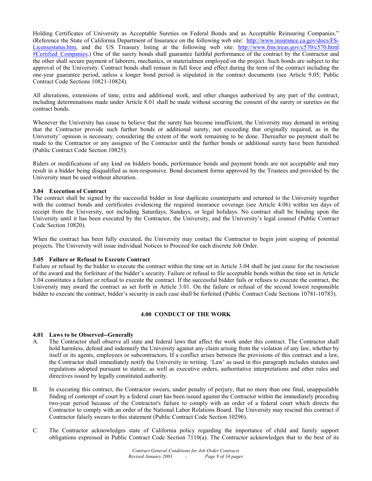Holding Certificates of University as Acceptable Sureties on Federal Bonds and as Acceptable Reinsuring Companies." (Reference the State of California Department of Insurance on the following web site: http://www.insurance.ca.gov/docs/FS-Licensestatus.htm, and the US Treasury listing at the following web site: http://www.fms.treas.gov/c570/c570.html #Certified Companies.) One of the surety bonds shall guarantee faithful performance of the contract by the Contractor and the other shall secure payment of laborers, mechanics, or materialmen employed on the project. Such bonds are subject to the approval of the University. Contract bonds shall remain in full force and effect during the term of the contract including the one-year guarantee period, unless a longer bond period is stipulated in the contract documents (see Article 9.05; Public Contract Code Sections 10821-10824).

All alterations, extensions of time, extra and additional work, and other changes authorized by any part of the contract, including determinations made under Article 8.01 shall be made without securing the consent of the surety or sureties on the contract bonds.

Whenever the University has cause to believe that the surety has become insufficient, the University may demand in writing that the Contractor provide such further bonds or additional surety, not exceeding that originally required, as in the University' opinion is necessary, considering the extent of the work remaining to be done. Thereafter no payment shall be made to the Contractor or any assignee of the Contractor until the further bonds or additional surety have been furnished (Public Contract Code Section 10825).

Riders or modifications of any kind on bidders bonds, performance bonds and payment bonds are not acceptable and may result in a bidder being disqualified as non-responsive. Bond document forms approved by the Trustees and provided by the University must be used without alteration.

# **3.04 Execution of Contract**

The contract shall be signed by the successful bidder in four duplicate counterparts and returned to the University together with the contract bonds and certificates evidencing the required insurance coverage (see Article 4.06) within ten days of receipt from the University, not including Saturdays, Sundays, or legal holidays. No contract shall be binding upon the University until it has been executed by the Contractor, the University, and the University's legal counsel (Public Contract Code Section 10820).

When the contract has been fully executed, the University may contact the Contractor to begin joint scoping of potential projects. The University will issue individual Notices to Proceed for each discrete Job Order.

#### **3.05 Failure or Refusal to Execute Contract**

Failure or refusal by the bidder to execute the contract within the time set in Article 3.04 shall be just cause for the rescission of the award and the forfeiture of the bidder's security. Failure or refusal to file acceptable bonds within the time set in Article 3.04 constitutes a failure or refusal to execute the contract. If the successful bidder fails or refuses to execute the contract, the University may award the contract as set forth in Article 3.01. On the failure or refusal of the second lowest responsible bidder to execute the contract, bidder's security in each case shall be forfeited (Public Contract Code Sections 10781-10783).

# **4.00 CONDUCT OF THE WORK**

#### **4.01 Laws to be Observed--Generally**

- A. The Contractor shall observe all state and federal laws that affect the work under this contract. The Contractor shall hold harmless, defend and indemnify the University against any claim arising from the violation of any law, whether by itself or its agents, employees or subcontractors. If a conflict arises between the provisions of this contract and a law, the Contractor shall immediately notify the University in writing. 'Law' as used in this paragraph includes statutes and regulations adopted pursuant to statute, as well as executive orders, authoritative interpretations and other rules and directives issued by legally constituted authority.
- B. In executing this contract, the Contractor swears, under penalty of perjury, that no more than one final, unappealable finding of contempt of court by a federal court has been issued against the Contractor within the immediately preceding two-year period because of the Contractor's failure to comply with an order of a federal court which directs the Contractor to comply with an order of the National Labor Relations Board. The University may rescind this contract if Contractor falsely swears to this statement (Public Contract Code Section 10296).
- C. The Contractor acknowledges state of California policy regarding the importance of child and family support obligations expressed in Public Contract Code Section 7110(a). The Contractor acknowledges that to the best of its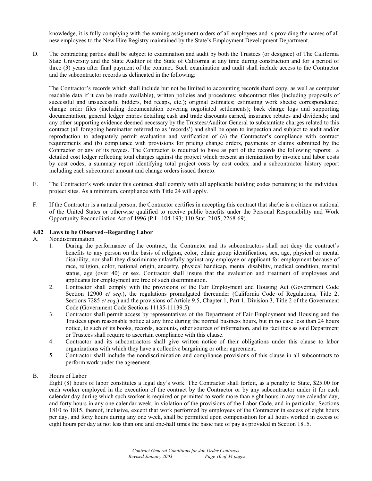knowledge, it is fully complying with the earning assignment orders of all employees and is providing the names of all new employees to the New Hire Registry maintained by the State's Employment Development Department.

D. The contracting parties shall be subject to examination and audit by both the Trustees (or designee) of The California State University and the State Auditor of the State of California at any time during construction and for a period of three (3) years after final payment of the contract. Such examination and audit shall include access to the Contractor and the subcontractor records as delineated in the following:

The Contractor's records which shall include but not be limited to accounting records (hard copy, as well as computer readable data if it can be made available), written policies and procedures; subcontract files (including proposals of successful and unsuccessful bidders, bid recaps, etc.); original estimates; estimating work sheets; correspondence; change order files (including documentation covering negotiated settlements); back charge logs and supporting documentation; general ledger entries detailing cash and trade discounts earned, insurance rebates and dividends; and any other supporting evidence deemed necessary by the Trustees/Auditor General to substantiate charges related to this contract (all foregoing hereinafter referred to as 'records') and shall be open to inspection and subject to audit and/or reproduction to adequately permit evaluation and verification of (a) the Contractor's compliance with contract requirements and (b) compliance with provisions for pricing change orders, payments or claims submitted by the Contractor or any of its payees. The Contractor is required to have as part of the records the following reports: a detailed cost ledger reflecting total charges against the project which present an itemization by invoice and labor costs by cost codes; a summary report identifying total project costs by cost codes; and a subcontractor history report including each subcontract amount and change orders issued thereto.

- E. The Contractor's work under this contract shall comply with all applicable building codes pertaining to the individual project sites. As a minimum, compliance with Title 24 will apply.
- F. If the Contractor is a natural person, the Contractor certifies in accepting this contract that she/he is a citizen or national of the United States or otherwise qualified to receive public benefits under the Personal Responsibility and Work Opportunity Reconciliation Act of 1996 (P.L. 104-193; 110 Stat. 2105, 2268-69).

# **4.02 Laws to be Observed--Regarding Labor**

# A. Nondiscrimination

- 1. During the performance of the contract, the Contractor and its subcontractors shall not deny the contract's benefits to any person on the basis of religion, color, ethnic group identification, sex, age, physical or mental disability, nor shall they discriminate unlawfully against any employee or applicant for employment because of race, religion, color, national origin, ancestry, physical handicap, mental disability, medical condition, marital status, age (over 40) or sex. Contractor shall insure that the evaluation and treatment of employees and applicants for employment are free of such discrimination.
- 2. Contractor shall comply with the provisions of the Fair Employment and Housing Act (Government Code Section 12900 *et seq.*), the regulations promulgated thereunder (California Code of Regulations, Title 2, Sections 7285 *et seq*.) and the provisions of Article 9.5, Chapter 1, Part 1, Division 3, Title 2 of the Government Code (Government Code Sections 11135-11139.5).
- 3. Contractor shall permit access by representatives of the Department of Fair Employment and Housing and the Trustees upon reasonable notice at any time during the normal business hours, but in no case less than 24 hours notice, to such of its books, records, accounts, other sources of information, and its facilities as said Department or Trustees shall require to ascertain compliance with this clause.
- 4. Contractor and its subcontractors shall give written notice of their obligations under this clause to labor organizations with which they have a collective bargaining or other agreement.
- 5. Contractor shall include the nondiscrimination and compliance provisions of this clause in all subcontracts to perform work under the agreement.

# B. Hours of Labor

Eight (8) hours of labor constitutes a legal day's work. The Contractor shall forfeit, as a penalty to State, \$25.00 for each worker employed in the execution of the contract by the Contractor or by any subcontractor under it for each calendar day during which such worker is required or permitted to work more than eight hours in any one calendar day, and forty hours in any one calendar week, in violation of the provisions of the Labor Code, and in particular, Sections 1810 to 1815, thereof, inclusive, except that work performed by employees of the Contractor in excess of eight hours per day, and forty hours during any one week, shall be permitted upon compensation for all hours worked in excess of eight hours per day at not less than one and one-half times the basic rate of pay as provided in Section 1815.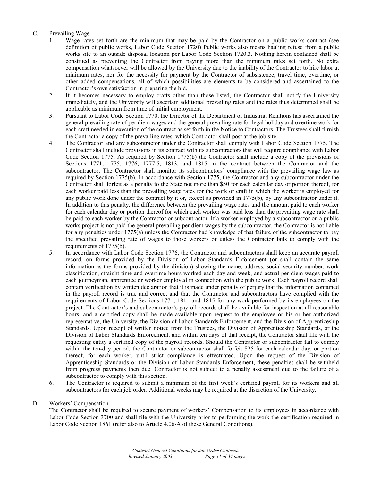# C. Prevailing Wage

- 1. Wage rates set forth are the minimum that may be paid by the Contractor on a public works contract (see definition of public works, Labor Code Section 1720) Public works also means hauling refuse from a public works site to an outside disposal location per Labor Code Section 1720.3. Nothing herein contained shall be construed as preventing the Contractor from paying more than the minimum rates set forth. No extra compensation whatsoever will be allowed by the University due to the inability of the Contractor to hire labor at minimum rates, nor for the necessity for payment by the Contractor of subsistence, travel time, overtime, or other added compensations, all of which possibilities are elements to be considered and ascertained to the Contractor's own satisfaction in preparing the bid.
- 2. If it becomes necessary to employ crafts other than those listed, the Contractor shall notify the University immediately, and the University will ascertain additional prevailing rates and the rates thus determined shall be applicable as minimum from time of initial employment.
- 3. Pursuant to Labor Code Section 1770, the Director of the Department of Industrial Relations has ascertained the general prevailing rate of per diem wages and the general prevailing rate for legal holiday and overtime work for each craft needed in execution of the contract as set forth in the Notice to Contractors. The Trustees shall furnish the Contractor a copy of the prevailing rates, which Contractor shall post at the job site.
- 4. The Contractor and any subcontractor under the Contractor shall comply with Labor Code Section 1775. The Contractor shall include provisions in its contract with its subcontractors that will require compliance with Labor Code Section 1775. As required by Section 1775(b) the Contractor shall include a copy of the provisions of Sections 1771, 1775, 1776, 1777.5, 1813, and 1815 in the contract between the Contractor and the subcontractor. The Contractor shall monitor its subcontractors' compliance with the prevailing wage law as required by Section 1775(b). In accordance with Section 1775, the Contractor and any subcontractor under the Contractor shall forfeit as a penalty to the State not more than \$50 for each calendar day or portion thereof, for each worker paid less than the prevailing wage rates for the work or craft in which the worker is employed for any public work done under the contract by it or, except as provided in 1775(b), by any subcontractor under it. In addition to this penalty, the difference between the prevailing wage rates and the amount paid to each worker for each calendar day or portion thereof for which each worker was paid less than the prevailing wage rate shall be paid to each worker by the Contractor or subcontractor. If a worker employed by a subcontractor on a public works project is not paid the general prevailing per diem wages by the subcontractor, the Contractor is not liable for any penalties under 1775(a) unless the Contractor had knowledge of that failure of the subcontractor to pay the specified prevailing rate of wages to those workers or unless the Contractor fails to comply with the requirements of 1775(b).
- 5. In accordance with Labor Code Section 1776, the Contractor and subcontractors shall keep an accurate payroll record, on forms provided by the Division of Labor Standards Enforcement (or shall contain the same information as the forms provided by the division) showing the name, address, social security number, work classification, straight time and overtime hours worked each day and week, and actual per diem wages paid to each journeyman, apprentice or worker employed in connection with the public work. Each payroll record shall contain verification by written declaration that it is made under penalty of perjury that the information contained in the payroll record is true and correct and that the Contractor and subcontractors have complied with the requirements of Labor Code Sections 1771, 1811 and 1815 for any work performed by its employees on the project. The Contractor's and subcontractor's payroll records shall be available for inspection at all reasonable hours, and a certified copy shall be made available upon request to the employee or his or her authorized representative, the University, the Division of Labor Standards Enforcement, and the Division of Apprenticeship Standards. Upon receipt of written notice from the Trustees, the Division of Apprenticeship Standards, or the Division of Labor Standards Enforcement, and within ten days of that receipt, the Contractor shall file with the requesting entity a certified copy of the payroll records. Should the Contractor or subcontractor fail to comply within the ten-day period, the Contractor or subcontractor shall forfeit \$25 for each calendar day, or portion thereof, for each worker, until strict compliance is effectuated. Upon the request of the Division of Apprenticeship Standards or the Division of Labor Standards Enforcement, these penalties shall be withheld from progress payments then due. Contractor is not subject to a penalty assessment due to the failure of a subcontractor to comply with this section.
- 6. The Contractor is required to submit a minimum of the first week's certified payroll for its workers and all subcontractors for each job order. Additional weeks may be required at the discretion of the University.

# D. Workers' Compensation

The Contractor shall be required to secure payment of workers' Compensation to its employees in accordance with Labor Code Section 3700 and shall file with the University prior to performing the work the certification required in Labor Code Section 1861 (refer also to Article 4.06-A of these General Conditions).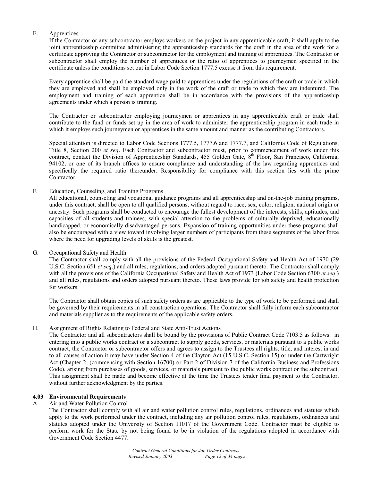# E. Apprentices

If the Contractor or any subcontractor employs workers on the project in any apprenticeable craft, it shall apply to the joint apprenticeship committee administering the apprenticeship standards for the craft in the area of the work for a certificate approving the Contractor or subcontractor for the employment and training of apprentices. The Contractor or subcontractor shall employ the number of apprentices or the ratio of apprentices to journeymen specified in the certificate unless the conditions set out in Labor Code Section 1777.5 excuse it from this requirement.

 Every apprentice shall be paid the standard wage paid to apprentices under the regulations of the craft or trade in which they are employed and shall be employed only in the work of the craft or trade to which they are indentured. The employment and training of each apprentice shall be in accordance with the provisions of the apprenticeship agreements under which a person is training.

 The Contractor or subcontractor employing journeymen or apprentices in any apprenticeable craft or trade shall contribute to the fund or funds set up in the area of work to administer the apprenticeship program in each trade in which it employs such journeymen or apprentices in the same amount and manner as the contributing Contractors.

 Special attention is directed to Labor Code Sections 1777.5, 1777.6 and 1777.7, and California Code of Regulations, Title 8, Section 200 *et seq*. Each Contractor and subcontractor must, prior to commencement of work under this contract, contact the Division of Apprenticeship Standards, 455 Golden Gate, 8<sup>th</sup> Floor, San Francisco, California, 94102, or one of its branch offices to ensure compliance and understanding of the law regarding apprentices and specifically the required ratio thereunder. Responsibility for compliance with this section lies with the prime Contractor.

# F. Education, Counseling, and Training Programs

 All educational, counseling and vocational guidance programs and all apprenticeship and on-the-job training programs, under this contract, shall be open to all qualified persons, without regard to race, sex, color, religion, national origin or ancestry. Such programs shall be conducted to encourage the fullest development of the interests, skills, aptitudes, and capacities of all students and trainees, with special attention to the problems of culturally deprived, educationally handicapped, or economically disadvantaged persons. Expansion of training opportunities under these programs shall also be encouraged with a view toward involving larger numbers of participants from these segments of the labor force where the need for upgrading levels of skills is the greatest.

# G. Occupational Safety and Health

The Contractor shall comply with all the provisions of the Federal Occupational Safety and Health Act of 1970 (29 U.S.C. Section 651 *et seq*.) and all rules, regulations, and orders adopted pursuant thereto. The Contractor shall comply with all the provisions of the California Occupational Safety and Health Act of 1973 (Labor Code Section 6300 *et seq*.) and all rules, regulations and orders adopted pursuant thereto. These laws provide for job safety and health protection for workers.

 The Contractor shall obtain copies of such safety orders as are applicable to the type of work to be performed and shall be governed by their requirements in all construction operations. The Contractor shall fully inform each subcontractor and materials supplier as to the requirements of the applicable safety orders.

# H. Assignment of Rights Relating to Federal and State Anti-Trust Actions

The Contractor and all subcontractors shall be bound by the provisions of Public Contract Code 7103.5 as follows: in entering into a public works contract or a subcontract to supply goods, services, or materials pursuant to a public works contract, the Contractor or subcontractor offers and agrees to assign to the Trustees all rights, title, and interest in and to all causes of action it may have under Section 4 of the Clayton Act (15 U.S.C. Section 15) or under the Cartwright Act (Chapter 2, (commencing with Section 16700) or Part 2 of Division 7 of the California Business and Professions Code), arising from purchases of goods, services, or materials pursuant to the public works contract or the subcontract. This assignment shall be made and become effective at the time the Trustees tender final payment to the Contractor, without further acknowledgment by the parties.

# **4.03 Environmental Requirements**

#### A. Air and Water Pollution Control

 The Contractor shall comply with all air and water pollution control rules, regulations, ordinances and statutes which apply to the work performed under the contract, including any air pollution control rules, regulations, ordinances and statutes adopted under the University of Section 11017 of the Government Code. Contractor must be eligible to perform work for the State by not being found to be in violation of the regulations adopted in accordance with Government Code Section 4477.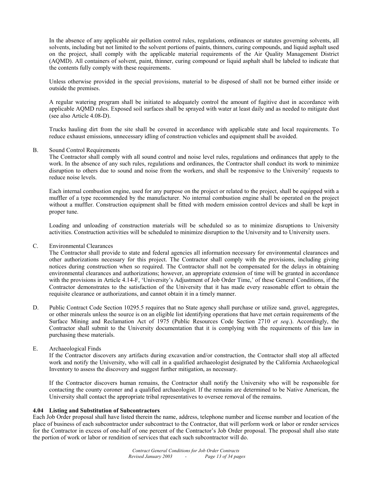In the absence of any applicable air pollution control rules, regulations, ordinances or statutes governing solvents, all solvents, including but not limited to the solvent portions of paints, thinners, curing compounds, and liquid asphalt used on the project, shall comply with the applicable material requirements of the Air Quality Management District (AQMD). All containers of solvent, paint, thinner, curing compound or liquid asphalt shall be labeled to indicate that the contents fully comply with these requirements.

 Unless otherwise provided in the special provisions, material to be disposed of shall not be burned either inside or outside the premises.

 A regular watering program shall be initiated to adequately control the amount of fugitive dust in accordance with applicable AQMD rules. Exposed soil surfaces shall be sprayed with water at least daily and as needed to mitigate dust (see also Article 4.08-D).

 Trucks hauling dirt from the site shall be covered in accordance with applicable state and local requirements. To reduce exhaust emissions, unnecessary idling of construction vehicles and equipment shall be avoided.

#### B. Sound Control Requirements

The Contractor shall comply with all sound control and noise level rules, regulations and ordinances that apply to the work. In the absence of any such rules, regulations and ordinances, the Contractor shall conduct its work to minimize disruption to others due to sound and noise from the workers, and shall be responsive to the University' requests to reduce noise levels.

 Each internal combustion engine, used for any purpose on the project or related to the project, shall be equipped with a muffler of a type recommended by the manufacturer. No internal combustion engine shall be operated on the project without a muffler. Construction equipment shall be fitted with modern emission control devices and shall be kept in proper tune.

 Loading and unloading of construction materials will be scheduled so as to minimize disruptions to University activities. Construction activities will be scheduled to minimize disruption to the University and to University users.

#### C. Environmental Clearances

The Contractor shall provide to state and federal agencies all information necessary for environmental clearances and other authorizations necessary for this project. The Contractor shall comply with the provisions, including giving notices during construction when so required. The Contractor shall not be compensated for the delays in obtaining environmental clearances and authorizations; however, an appropriate extension of time will be granted in accordance with the provisions in Article 4.14-F, 'University's Adjustment of Job Order Time,' of these General Conditions, if the Contractor demonstrates to the satisfaction of the University that it has made every reasonable effort to obtain the requisite clearance or authorizations, and cannot obtain it in a timely manner.

D. Public Contract Code Section 10295.5 requires that no State agency shall purchase or utilize sand, gravel, aggregates, or other minerals unless the source is on an eligible list identifying operations that have met certain requirements of the Surface Mining and Reclamation Act of 1975 (Public Resources Code Section 2710 *et seq*.). Accordingly, the Contractor shall submit to the University documentation that it is complying with the requirements of this law in purchasing these materials.

# E. Archaeological Finds

 If the Contractor discovers any artifacts during excavation and/or construction, the Contractor shall stop all affected work and notify the University, who will call in a qualified archaeologist designated by the California Archaeological Inventory to assess the discovery and suggest further mitigation, as necessary.

 If the Contractor discovers human remains, the Contractor shall notify the University who will be responsible for contacting the county coroner and a qualified archaeologist. If the remains are determined to be Native American, the University shall contact the appropriate tribal representatives to oversee removal of the remains.

#### **4.04 Listing and Substitution of Subcontractors**

Each Job Order proposal shall have listed therein the name, address, telephone number and license number and location of the place of business of each subcontractor under subcontract to the Contractor, that will perform work or labor or render services for the Contractor in excess of one-half of one percent of the Contractor's Job Order proposal. The proposal shall also state the portion of work or labor or rendition of services that each such subcontractor will do.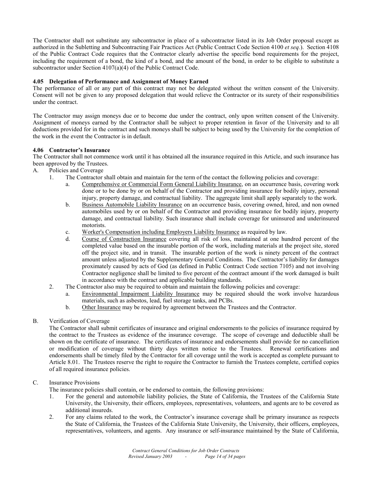The Contractor shall not substitute any subcontractor in place of a subcontractor listed in its Job Order proposal except as authorized in the Subletting and Subcontracting Fair Practices Act (Public Contract Code Section 4100 *et seq.*). Section 4108 of the Public Contract Code requires that the Contractor clearly advertise the specific bond requirements for the project, including the requirement of a bond, the kind of a bond, and the amount of the bond, in order to be eligible to substitute a subcontractor under Section 4107(a)(4) of the Public Contract Code.

# **4.05 Delegation of Performance and Assignment of Money Earned**

The performance of all or any part of this contract may not be delegated without the written consent of the University. Consent will not be given to any proposed delegation that would relieve the Contractor or its surety of their responsibilities under the contract.

The Contractor may assign moneys due or to become due under the contract, only upon written consent of the University. Assignment of moneys earned by the Contractor shall be subject to proper retention in favor of the University and to all deductions provided for in the contract and such moneys shall be subject to being used by the University for the completion of the work in the event the Contractor is in default.

# **4.06 Contractor's Insurance**

The Contractor shall not commence work until it has obtained all the insurance required in this Article, and such insurance has been approved by the Trustees.

- A. Policies and Coverage
	- 1. The Contractor shall obtain and maintain for the term of the contact the following policies and coverage:
		- a. Comprehensive or Commercial Form General Liability Insurance, on an occurrence basis, covering work done or to be done by or on behalf of the Contractor and providing insurance for bodily injury, personal injury, property damage, and contractual liability. The aggregate limit shall apply separately to the work.
		- b. Business Automobile Liability Insurance on an occurrence basis, covering owned, hired, and non owned automobiles used by or on behalf of the Contractor and providing insurance for bodily injury, property damage, and contractual liability. Such insurance shall include coverage for uninsured and underinsured motorists.
		- c. Worker's Compensation including Employers Liability Insurance as required by law.
		- d. Course of Construction Insurance covering all risk of loss, maintained at one hundred percent of the completed value based on the insurable portion of the work, including materials at the project site, stored off the project site, and in transit. The insurable portion of the work is ninety percent of the contract amount unless adjusted by the Supplementary General Conditions. The Contractor's liability for damages proximately caused by acts of God (as defined in Public Contract Code section 7105) and not involving Contractor negligence shall be limited to five percent of the contract amount if the work damaged is built in accordance with the contract and applicable building standards.
	- 2. The Contractor also may be required to obtain and maintain the following policies and coverage:
		- a. Environmental Impairment Liability Insurance may be required should the work involve hazardous materials, such as asbestos, lead, fuel storage tanks, and PCBs.
		- b. Other Insurance may be required by agreement between the Trustees and the Contractor.

# B. Verification of Coverage

 The Contractor shall submit certificates of insurance and original endorsements to the policies of insurance required by the contract to the Trustees as evidence of the insurance coverage. The scope of coverage and deductible shall be shown on the certificate of insurance. The certificates of insurance and endorsements shall provide for no cancellation or modification of coverage without thirty days written notice to the Trustees. Renewal certifications and endorsements shall be timely filed by the Contractor for all coverage until the work is accepted as complete pursuant to Article 8.01. The Trustees reserve the right to require the Contractor to furnish the Trustees complete, certified copies of all required insurance policies.

# C. Insurance Provisions

The insurance policies shall contain, or be endorsed to contain, the following provisions:

- 1. For the general and automobile liability policies, the State of California, the Trustees of the California State University, the University, their officers, employees, representatives, volunteers, and agents are to be covered as additional insureds.
- 2. For any claims related to the work, the Contractor's insurance coverage shall be primary insurance as respects the State of California, the Trustees of the California State University, the University, their officers, employees, representatives, volunteers, and agents. Any insurance or self-insurance maintained by the State of California,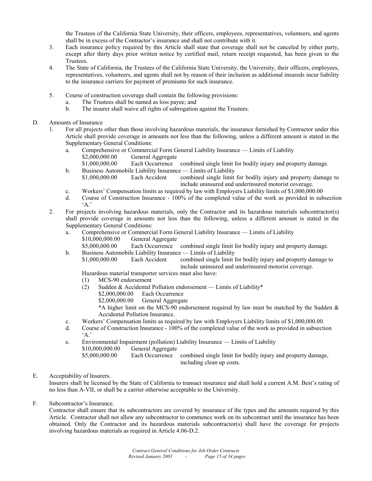the Trustees of the California State University, their officers, employees, representatives, volunteers, and agents shall be in excess of the Contractor's insurance and shall not contribute with it.

- 3. Each insurance policy required by this Article shall state that coverage shall not be canceled by either party, except after thirty days prior written notice by certified mail, return receipt requested, has been given to the Trustees.
- 4. The State of California, the Trustees of the California State University, the University, their officers, employees, representatives, volunteers, and agents shall not by reason of their inclusion as additional insureds incur liability to the insurance carriers for payment of premiums for such insurance.
- 5. Course of construction coverage shall contain the following provisions:
	- a. The Trustees shall be named as loss payee; and
	- b. The insurer shall waive all rights of subrogation against the Trustees.
- D. Amounts of Insurance
	- 1. For all projects other than those involving hazardous materials, the insurance furnished by Contractor under this Article shall provide coverage in amounts not less than the following, unless a different amount is stated in the Supplementary General Conditions:
		- a. Comprehensive or Commercial Form General Liability Insurance Limits of Liability \$2,000,000.00 General Aggregate
			- \$1,000,000.00 Each Occurrence combined single limit for bodily injury and property damage.
		- b. Business Automobile Liability Insurance Limits of Liability
			- \$1,000,000.00 Each Accident combined single limit for bodily injury and property damage to include uninsured and underinsured motorist coverage.
		- c. Workers' Compensation limits as required by law with Employers Liability limits of \$1,000,000.00
		- d. Course of Construction Insurance 100% of the completed value of the work as provided in subsection  $\Delta$ .
	- 2. For projects involving hazardous materials, only the Contractor and its hazardous materials subcontractor(s) shall provide coverage in amounts not less than the following, unless a different amount is stated in the Supplementary General Conditions:
		- a. Comprehensive or Commercial Form General Liability Insurance Limits of Liability \$10,000,000.00 General Aggregate

\$5,000,000.00 Each Occurrence combined single limit for bodily injury and property damage.

b. Business Automobile Liability Insurance — Limits of Liability

\$1,000,000.00 Each Accident combined single limit for bodily injury and property damage to include uninsured and underinsured motorist coverage.

Hazardous material transporter services must also have:

- (1) MCS-90 endorsement
- (2) Sudden & Accidental Pollution endorsement Limits of Liability\*
	- \$2,000,000.00 Each Occurrence
	- \$2,000,000.00 General Aggregate

 \*A higher limit on the MCS-90 endorsement required by law must be matched by the Sudden & Accidental Pollution Insurance.

- c. Workers' Compensation limits as required by law with Employers Liability limits of \$1,000,000.00.
- d. Course of Construction Insurance 100% of the completed value of the work as provided in subsection  $\Delta$ .
- e. Environmental Impairment (pollution) Liability Insurance Limits of Liability \$10,000,000.00 General Aggregate

# E. Acceptability of Insurers.

Insurers shall be licensed by the State of California to transact insurance and shall hold a current A.M. Best's rating of no less than A-VII, or shall be a carrier otherwise acceptable to the University.

F. Subcontractor's Insurance.

Contractor shall ensure that its subcontractors are covered by insurance of the types and the amounts required by this Article. Contractor shall not allow any subcontractor to commence work on its subcontract until the insurance has been obtained. Only the Contractor and its hazardous materials subcontractor(s) shall have the coverage for projects involving hazardous materials as required in Article 4.06-D.2.

 <sup>\$5,000,000.00</sup> Each Occurrence combined single limit for bodily injury and property damage, including clean up costs.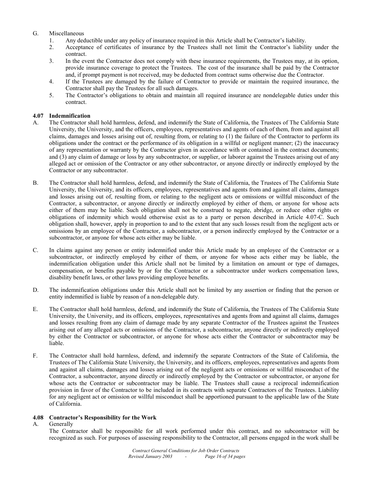# G. Miscellaneous

- 1. Any deductible under any policy of insurance required in this Article shall be Contractor's liability.
- 2. Acceptance of certificates of insurance by the Trustees shall not limit the Contractor's liability under the contract.
- 3. In the event the Contractor does not comply with these insurance requirements, the Trustees may, at its option, provide insurance coverage to protect the Trustees. The cost of the insurance shall be paid by the Contractor and, if prompt payment is not received, may be deducted from contract sums otherwise due the Contractor.
- 4. If the Trustees are damaged by the failure of Contractor to provide or maintain the required insurance, the Contractor shall pay the Trustees for all such damages.
- 5. The Contractor's obligations to obtain and maintain all required insurance are nondelegable duties under this contract.

# **4.07 Indemnification**

- A. The Contractor shall hold harmless, defend, and indemnify the State of California, the Trustees of The California State University, the University, and the officers, employees, representatives and agents of each of them, from and against all claims, damages and losses arising out of, resulting from, or relating to (1) the failure of the Contractor to perform its obligations under the contract or the performance of its obligation in a willful or negligent manner; (2) the inaccuracy of any representation or warranty by the Contractor given in accordance with or contained in the contract documents; and (3) any claim of damage or loss by any subcontractor, or supplier, or laborer against the Trustees arising out of any alleged act or omission of the Contractor or any other subcontractor, or anyone directly or indirectly employed by the Contractor or any subcontractor.
- B. The Contractor shall hold harmless, defend, and indemnify the State of California, the Trustees of The California State University, the University, and its officers, employees, representatives and agents from and against all claims, damages and losses arising out of, resulting from, or relating to the negligent acts or omissions or willful misconduct of the Contractor, a subcontractor, or anyone directly or indirectly employed by either of them, or anyone for whose acts either of them may be liable. Such obligation shall not be construed to negate, abridge, or reduce other rights or obligations of indemnity which would otherwise exist as to a party or person described in Article 4.07-C. Such obligation shall, however, apply in proportion to and to the extent that any such losses result from the negligent acts or omissions by an employee of the Contractor, a subcontractor, or a person indirectly employed by the Contractor or a subcontractor, or anyone for whose acts either may be liable.
- C. In claims against any person or entity indemnified under this Article made by an employee of the Contractor or a subcontractor, or indirectly employed by either of them, or anyone for whose acts either may be liable, the indemnification obligation under this Article shall not be limited by a limitation on amount or type of damages, compensation, or benefits payable by or for the Contractor or a subcontractor under workers compensation laws, disability benefit laws, or other laws providing employee benefits.
- D. The indemnification obligations under this Article shall not be limited by any assertion or finding that the person or entity indemnified is liable by reason of a non-delegable duty.
- E. The Contractor shall hold harmless, defend, and indemnify the State of California, the Trustees of The California State University, the University, and its officers, employees, representatives and agents from and against all claims, damages and losses resulting from any claim of damage made by any separate Contractor of the Trustees against the Trustees arising out of any alleged acts or omissions of the Contractor, a subcontractor, anyone directly or indirectly employed by either the Contractor or subcontractor, or anyone for whose acts either the Contractor or subcontractor may be liable.
- F. The Contractor shall hold harmless, defend, and indemnify the separate Contractors of the State of California, the Trustees of The California State University, the University, and its officers, employees, representatives and agents from and against all claims, damages and losses arising out of the negligent acts or omissions or willful misconduct of the Contractor, a subcontractor, anyone directly or indirectly employed by the Contractor or subcontractor, or anyone for whose acts the Contractor or subcontractor may be liable. The Trustees shall cause a reciprocal indemnification provision in favor of the Contractor to be included in its contracts with separate Contractors of the Trustees. Liability for any negligent act or omission or willful misconduct shall be apportioned pursuant to the applicable law of the State of California.

# **4.08 Contractor's Responsibility for the Work**

# A. Generally

The Contractor shall be responsible for all work performed under this contract, and no subcontractor will be recognized as such. For purposes of assessing responsibility to the Contractor, all persons engaged in the work shall be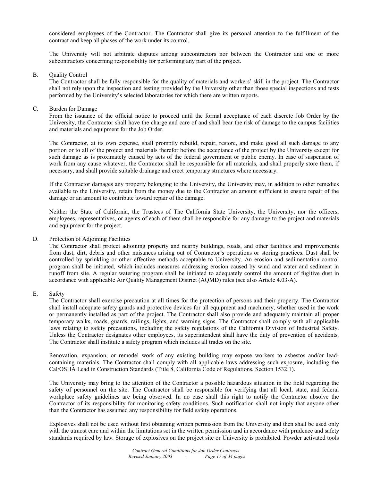considered employees of the Contractor. The Contractor shall give its personal attention to the fulfillment of the contract and keep all phases of the work under its control.

 The University will not arbitrate disputes among subcontractors nor between the Contractor and one or more subcontractors concerning responsibility for performing any part of the project.

#### B. Quality Control

The Contractor shall be fully responsible for the quality of materials and workers' skill in the project. The Contractor shall not rely upon the inspection and testing provided by the University other than those special inspections and tests performed by the University's selected laboratories for which there are written reports.

#### C. Burden for Damage

From the issuance of the official notice to proceed until the formal acceptance of each discrete Job Order by the University, the Contractor shall have the charge and care of and shall bear the risk of damage to the campus facilities and materials and equipment for the Job Order.

 The Contractor, at its own expense, shall promptly rebuild, repair, restore, and make good all such damage to any portion or to all of the project and materials therefor before the acceptance of the project by the University except for such damage as is proximately caused by acts of the federal government or public enemy. In case of suspension of work from any cause whatever, the Contractor shall be responsible for all materials, and shall properly store them, if necessary, and shall provide suitable drainage and erect temporary structures where necessary.

 If the Contractor damages any property belonging to the University, the University may, in addition to other remedies available to the University, retain from the money due to the Contractor an amount sufficient to ensure repair of the damage or an amount to contribute toward repair of the damage.

 Neither the State of California, the Trustees of The California State University, the University, nor the officers, employees, representatives, or agents of each of them shall be responsible for any damage to the project and materials and equipment for the project.

#### D. Protection of Adjoining Facilities

The Contractor shall protect adjoining property and nearby buildings, roads, and other facilities and improvements from dust, dirt, debris and other nuisances arising out of Contractor's operations or storing practices. Dust shall be controlled by sprinkling or other effective methods acceptable to University. An erosion and sedimentation control program shall be initiated, which includes measures addressing erosion caused by wind and water and sediment in runoff from site. A regular watering program shall be initiated to adequately control the amount of fugitive dust in accordance with applicable Air Quality Management District (AQMD) rules (see also Article 4.03-A).

# E. Safety

The Contractor shall exercise precaution at all times for the protection of persons and their property. The Contractor shall install adequate safety guards and protective devices for all equipment and machinery, whether used in the work or permanently installed as part of the project. The Contractor shall also provide and adequately maintain all proper temporary walks, roads, guards, railings, lights, and warning signs. The Contractor shall comply with all applicable laws relating to safety precautions, including the safety regulations of the California Division of Industrial Safety. Unless the Contractor designates other employees, its superintendent shall have the duty of prevention of accidents. The Contractor shall institute a safety program which includes all trades on the site.

 Renovation, expansion, or remodel work of any existing building may expose workers to asbestos and/or leadcontaining materials. The Contractor shall comply with all applicable laws addressing such exposure, including the Cal/OSHA Lead in Construction Standards (Title 8, California Code of Regulations, Section 1532.1).

 The University may bring to the attention of the Contractor a possible hazardous situation in the field regarding the safety of personnel on the site. The Contractor shall be responsible for verifying that all local, state, and federal workplace safety guidelines are being observed. In no case shall this right to notify the Contractor absolve the Contractor of its responsibility for monitoring safety conditions. Such notification shall not imply that anyone other than the Contractor has assumed any responsibility for field safety operations.

 Explosives shall not be used without first obtaining written permission from the University and then shall be used only with the utmost care and within the limitations set in the written permission and in accordance with prudence and safety standards required by law. Storage of explosives on the project site or University is prohibited. Powder activated tools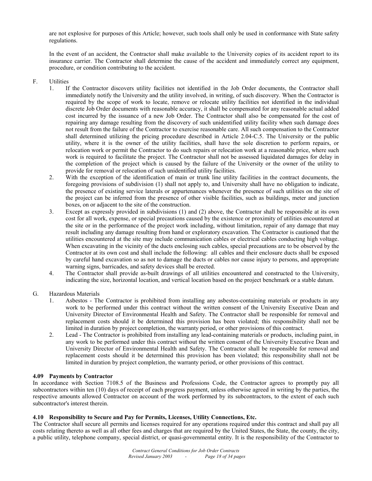are not explosive for purposes of this Article; however, such tools shall only be used in conformance with State safety regulations.

 In the event of an accident, the Contractor shall make available to the University copies of its accident report to its insurance carrier. The Contractor shall determine the cause of the accident and immediately correct any equipment, procedure, or condition contributing to the accident.

# F. Utilities

- 1. If the Contractor discovers utility facilities not identified in the Job Order documents, the Contractor shall immediately notify the University and the utility involved, in writing, of such discovery. When the Contractor is required by the scope of work to locate, remove or relocate utility facilities not identified in the individual discrete Job Order documents with reasonable accuracy, it shall be compensated for any reasonable actual added cost incurred by the issuance of a new Job Order. The Contractor shall also be compensated for the cost of repairing any damage resulting from the discovery of such unidentified utility facility when such damage does not result from the failure of the Contractor to exercise reasonable care. All such compensation to the Contractor shall determined utilizing the pricing procedure described in Article 2.04-C.5. The University or the public utility, where it is the owner of the utility facilities, shall have the sole discretion to perform repairs, or relocation work or permit the Contractor to do such repairs or relocation work at a reasonable price, where such work is required to facilitate the project. The Contractor shall not be assessed liquidated damages for delay in the completion of the project which is caused by the failure of the University or the owner of the utility to provide for removal or relocation of such unidentified utility facilities.
- 2. With the exception of the identification of main or trunk line utility facilities in the contract documents, the foregoing provisions of subdivision (1) shall not apply to, and University shall have no obligation to indicate, the presence of existing service laterals or appurtenances whenever the presence of such utilities on the site of the project can be inferred from the presence of other visible facilities, such as buildings, meter and junction boxes, on or adjacent to the site of the construction.
- 3. Except as expressly provided in subdivisions (1) and (2) above, the Contractor shall be responsible at its own cost for all work, expense, or special precautions caused by the existence or proximity of utilities encountered at the site or in the performance of the project work including, without limitation, repair of any damage that may result including any damage resulting from hand or exploratory excavation. The Contractor is cautioned that the utilities encountered at the site may include communication cables or electrical cables conducting high voltage. When excavating in the vicinity of the ducts enclosing such cables, special precautions are to be observed by the Contractor at its own cost and shall include the following: all cables and their enclosure ducts shall be exposed by careful hand excavation so as not to damage the ducts or cables nor cause injury to persons, and appropriate warning signs, barricades, and safety devices shall be erected.
- 4. The Contractor shall provide as-built drawings of all utilities encountered and constructed to the University, indicating the size, horizontal location, and vertical location based on the project benchmark or a stable datum.
- G. Hazardous Materials
	- 1. Asbestos The Contractor is prohibited from installing any asbestos-containing materials or products in any work to be performed under this contract without the written consent of the University Executive Dean and University Director of Environmental Health and Safety. The Contractor shall be responsible for removal and replacement costs should it be determined this provision has been violated; this responsibility shall not be limited in duration by project completion, the warranty period, or other provisions of this contract.
	- 2. Lead The Contractor is prohibited from installing any lead-containing materials or products, including paint, in any work to be performed under this contract without the written consent of the University Executive Dean and University Director of Environmental Health and Safety. The Contractor shall be responsible for removal and replacement costs should it be determined this provision has been violated; this responsibility shall not be limited in duration by project completion, the warranty period, or other provisions of this contract.

#### **4.09 Payments by Contractor**

In accordance with Section 7108.5 of the Business and Professions Code, the Contractor agrees to promptly pay all subcontractors within ten (10) days of receipt of each progress payment, unless otherwise agreed in writing by the parties, the respective amounts allowed Contractor on account of the work performed by its subcontractors, to the extent of each such subcontractor's interest therein.

# **4.10 Responsibility to Secure and Pay for Permits, Licenses, Utility Connections, Etc.**

The Contractor shall secure all permits and licenses required for any operations required under this contract and shall pay all costs relating thereto as well as all other fees and charges that are required by the United States, the State, the county, the city, a public utility, telephone company, special district, or quasi-governmental entity. It is the responsibility of the Contractor to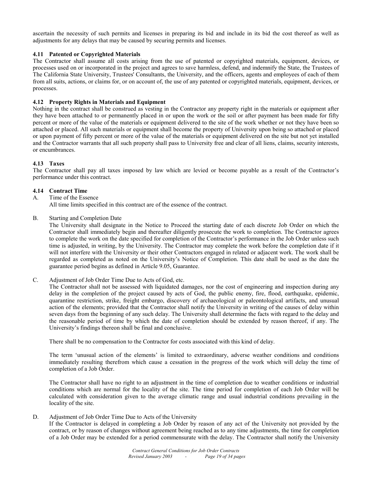ascertain the necessity of such permits and licenses in preparing its bid and include in its bid the cost thereof as well as adjustments for any delays that may be caused by securing permits and licenses.

# **4.11 Patented or Copyrighted Materials**

The Contractor shall assume all costs arising from the use of patented or copyrighted materials, equipment, devices, or processes used on or incorporated in the project and agrees to save harmless, defend, and indemnify the State, the Trustees of The California State University, Trustees' Consultants, the University, and the officers, agents and employees of each of them from all suits, actions, or claims for, or on account of, the use of any patented or copyrighted materials, equipment, devices, or processes.

# **4.12 Property Rights in Materials and Equipment**

Nothing in the contract shall be construed as vesting in the Contractor any property right in the materials or equipment after they have been attached to or permanently placed in or upon the work or the soil or after payment has been made for fifty percent or more of the value of the materials or equipment delivered to the site of the work whether or not they have been so attached or placed. All such materials or equipment shall become the property of University upon being so attached or placed or upon payment of fifty percent or more of the value of the materials or equipment delivered on the site but not yet installed and the Contractor warrants that all such property shall pass to University free and clear of all liens, claims, security interests, or encumbrances.

# **4.13 Taxes**

The Contractor shall pay all taxes imposed by law which are levied or become payable as a result of the Contractor's performance under this contract.

# **4.14 Contract Time**

A. Time of the Essence

All time limits specified in this contract are of the essence of the contract.

B. Starting and Completion Date

The University shall designate in the Notice to Proceed the starting date of each discrete Job Order on which the Contractor shall immediately begin and thereafter diligently prosecute the work to completion. The Contractor agrees to complete the work on the date specified for completion of the Contractor's performance in the Job Order unless such time is adjusted, in writing, by the University. The Contractor may complete the work before the completion date if it will not interfere with the University or their other Contractors engaged in related or adjacent work. The work shall be regarded as completed as noted on the University's Notice of Completion. This date shall be used as the date the guarantee period begins as defined in Article 9.05, Guarantee.

C. Adjustment of Job Order Time Due to Acts of God, etc.

The Contractor shall not be assessed with liquidated damages, nor the cost of engineering and inspection during any delay in the completion of the project caused by acts of God, the public enemy, fire, flood, earthquake, epidemic, quarantine restriction, strike, freight embargo, discovery of archaeological or paleontological artifacts, and unusual action of the elements; provided that the Contractor shall notify the University in writing of the causes of delay within seven days from the beginning of any such delay. The University shall determine the facts with regard to the delay and the reasonable period of time by which the date of completion should be extended by reason thereof, if any. The University's findings thereon shall be final and conclusive.

There shall be no compensation to the Contractor for costs associated with this kind of delay.

 The term 'unusual action of the elements' is limited to extraordinary, adverse weather conditions and conditions immediately resulting therefrom which cause a cessation in the progress of the work which will delay the time of completion of a Job Order.

 The Contractor shall have no right to an adjustment in the time of completion due to weather conditions or industrial conditions which are normal for the locality of the site. The time period for completion of each Job Order will be calculated with consideration given to the average climatic range and usual industrial conditions prevailing in the locality of the site.

#### D. Adjustment of Job Order Time Due to Acts of the University

If the Contractor is delayed in completing a Job Order by reason of any act of the University not provided by the contract, or by reason of changes without agreement being reached as to any time adjustments, the time for completion of a Job Order may be extended for a period commensurate with the delay. The Contractor shall notify the University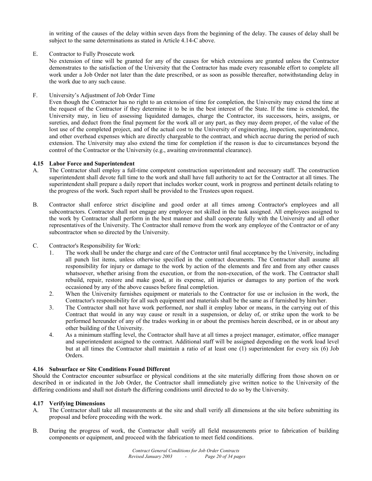in writing of the causes of the delay within seven days from the beginning of the delay. The causes of delay shall be subject to the same determinations as stated in Article 4.14-C above.

# E. Contractor to Fully Prosecute work

No extension of time will be granted for any of the causes for which extensions are granted unless the Contractor demonstrates to the satisfaction of the University that the Contractor has made every reasonable effort to complete all work under a Job Order not later than the date prescribed, or as soon as possible thereafter, notwithstanding delay in the work due to any such cause.

F. University's Adjustment of Job Order Time

Even though the Contractor has no right to an extension of time for completion, the University may extend the time at the request of the Contractor if they determine it to be in the best interest of the State. If the time is extended, the University may, in lieu of assessing liquidated damages, charge the Contractor, its successors, heirs, assigns, or sureties, and deduct from the final payment for the work all or any part, as they may deem proper, of the value of the lost use of the completed project, and of the actual cost to the University of engineering, inspection, superintendence, and other overhead expenses which are directly chargeable to the contract, and which accrue during the period of such extension. The University may also extend the time for completion if the reason is due to circumstances beyond the control of the Contractor or the University (e.g., awaiting environmental clearance).

# **4.15 Labor Force and Superintendent**

- A. The Contractor shall employ a full-time competent construction superintendent and necessary staff. The construction superintendent shall devote full time to the work and shall have full authority to act for the Contractor at all times. The superintendent shall prepare a daily report that includes worker count, work in progress and pertinent details relating to the progress of the work. Such report shall be provided to the Trustees upon request.
- B. Contractor shall enforce strict discipline and good order at all times among Contractor's employees and all subcontractors. Contractor shall not engage any employee not skilled in the task assigned. All employees assigned to the work by Contractor shall perform in the best manner and shall cooperate fully with the University and all other representatives of the University. The Contractor shall remove from the work any employee of the Contractor or of any subcontractor when so directed by the University.
- C. Contractor's Responsibility for Work:
	- 1. The work shall be under the charge and care of the Contractor until final acceptance by the University, including all punch list items, unless otherwise specified in the contract documents. The Contractor shall assume all responsibility for injury or damage to the work by action of the elements and fire and from any other causes whatsoever, whether arising from the execution, or from the non-execution, of the work. The Contractor shall rebuild, repair, restore and make good, at its expense, all injuries or damages to any portion of the work occasioned by any of the above causes before final completion.
	- 2. When the University furnishes equipment or materials to the Contractor for use or inclusion in the work, the Contractor's responsibility for all such equipment and materials shall be the same as if furnished by him/her.
	- 3. The Contractor shall not have work performed, nor shall it employ labor or means, in the carrying out of this Contract that would in any way cause or result in a suspension, or delay of, or strike upon the work to be performed hereunder of any of the trades working in or about the premises herein described, or in or about any other building of the University.
	- 4. As a minimum staffing level, the Contractor shall have at all times a project manager, estimator, office manager and superintendent assigned to the contract. Additional staff will be assigned depending on the work load level but at all times the Contractor shall maintain a ratio of at least one (1) superintendent for every six (6) Job Orders.

#### **4.16 Subsurface or Site Conditions Found Different**

Should the Contractor encounter subsurface or physical conditions at the site materially differing from those shown on or described in or indicated in the Job Order, the Contractor shall immediately give written notice to the University of the differing conditions and shall not disturb the differing conditions until directed to do so by the University.

#### **4.17 Verifying Dimensions**

- A. The Contractor shall take all measurements at the site and shall verify all dimensions at the site before submitting its proposal and before proceeding with the work.
- B. During the progress of work, the Contractor shall verify all field measurements prior to fabrication of building components or equipment, and proceed with the fabrication to meet field conditions.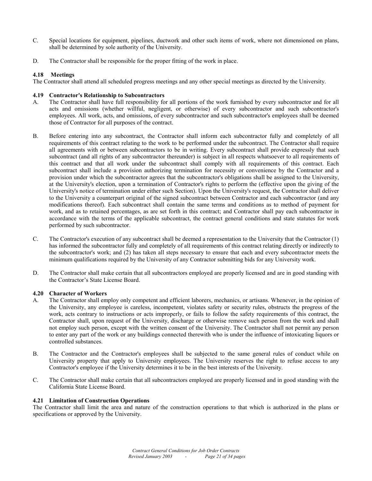- C. Special locations for equipment, pipelines, ductwork and other such items of work, where not dimensioned on plans, shall be determined by sole authority of the University.
- D. The Contractor shall be responsible for the proper fitting of the work in place.

# **4.18 Meetings**

The Contractor shall attend all scheduled progress meetings and any other special meetings as directed by the University.

# **4.19 Contractor's Relationship to Subcontractors**

- A. The Contractor shall have full responsibility for all portions of the work furnished by every subcontractor and for all acts and omissions (whether willful, negligent, or otherwise) of every subcontractor and such subcontractor's employees. All work, acts, and omissions, of every subcontractor and such subcontractor's employees shall be deemed those of Contractor for all purposes of the contract.
- B. Before entering into any subcontract, the Contractor shall inform each subcontractor fully and completely of all requirements of this contract relating to the work to be performed under the subcontract. The Contractor shall require all agreements with or between subcontractors to be in writing. Every subcontract shall provide expressly that such subcontract (and all rights of any subcontractor thereunder) is subject in all respects whatsoever to all requirements of this contract and that all work under the subcontract shall comply with all requirements of this contract. Each subcontract shall include a provision authorizing termination for necessity or convenience by the Contractor and a provision under which the subcontractor agrees that the subcontractor's obligations shall be assigned to the University, at the University's election, upon a termination of Contractor's rights to perform the (effective upon the giving of the University's notice of termination under either such Section). Upon the University's request, the Contractor shall deliver to the University a counterpart original of the signed subcontract between Contractor and each subcontractor (and any modifications thereof). Each subcontract shall contain the same terms and conditions as to method of payment for work, and as to retained percentages, as are set forth in this contract; and Contractor shall pay each subcontractor in accordance with the terms of the applicable subcontract, the contract general conditions and state statutes for work performed by such subcontractor.
- C. The Contractor's execution of any subcontract shall be deemed a representation to the University that the Contractor (1) has informed the subcontractor fully and completely of all requirements of this contract relating directly or indirectly to the subcontractor's work; and (2) has taken all steps necessary to ensure that each and every subcontractor meets the minimum qualifications required by the University of any Contractor submitting bids for any University work.
- D. The Contractor shall make certain that all subcontractors employed are properly licensed and are in good standing with the Contractor's State License Board.

# **4.20 Character of Workers**

- A. The Contractor shall employ only competent and efficient laborers, mechanics, or artisans. Whenever, in the opinion of the University, any employee is careless, incompetent, violates safety or security rules, obstructs the progress of the work, acts contrary to instructions or acts improperly, or fails to follow the safety requirements of this contract, the Contractor shall, upon request of the University, discharge or otherwise remove such person from the work and shall not employ such person, except with the written consent of the University. The Contractor shall not permit any person to enter any part of the work or any buildings connected therewith who is under the influence of intoxicating liquors or controlled substances.
- B. The Contractor and the Contractor's employees shall be subjected to the same general rules of conduct while on University property that apply to University employees. The University reserves the right to refuse access to any Contractor's employee if the University determines it to be in the best interests of the University.
- C. The Contractor shall make certain that all subcontractors employed are properly licensed and in good standing with the California State License Board.

# **4.21 Limitation of Construction Operations**

The Contractor shall limit the area and nature of the construction operations to that which is authorized in the plans or specifications or approved by the University.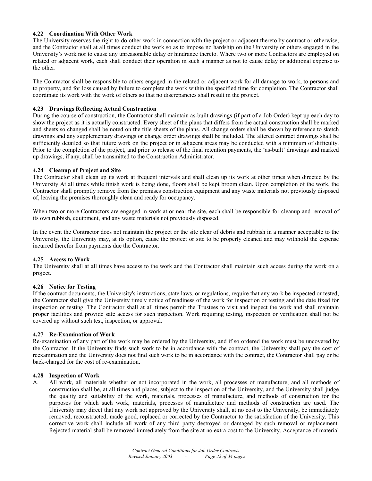# **4.22 Coordination With Other Work**

The University reserves the right to do other work in connection with the project or adjacent thereto by contract or otherwise, and the Contractor shall at all times conduct the work so as to impose no hardship on the University or others engaged in the University's work nor to cause any unreasonable delay or hindrance thereto. Where two or more Contractors are employed on related or adjacent work, each shall conduct their operation in such a manner as not to cause delay or additional expense to the other.

The Contractor shall be responsible to others engaged in the related or adjacent work for all damage to work, to persons and to property, and for loss caused by failure to complete the work within the specified time for completion. The Contractor shall coordinate its work with the work of others so that no discrepancies shall result in the project.

# **4.23 Drawings Reflecting Actual Construction**

During the course of construction, the Contractor shall maintain as-built drawings (if part of a Job Order) kept up each day to show the project as it is actually constructed. Every sheet of the plans that differs from the actual construction shall be marked and sheets so changed shall be noted on the title sheets of the plans. All change orders shall be shown by reference to sketch drawings and any supplementary drawings or change order drawings shall be included. The altered contract drawings shall be sufficiently detailed so that future work on the project or in adjacent areas may be conducted with a minimum of difficulty. Prior to the completion of the project, and prior to release of the final retention payments, the 'as-built' drawings and marked up drawings, if any, shall be transmitted to the Construction Administrator.

# **4.24 Cleanup of Project and Site**

The Contractor shall clean up its work at frequent intervals and shall clean up its work at other times when directed by the University At all times while finish work is being done, floors shall be kept broom clean. Upon completion of the work, the Contractor shall promptly remove from the premises construction equipment and any waste materials not previously disposed of, leaving the premises thoroughly clean and ready for occupancy.

When two or more Contractors are engaged in work at or near the site, each shall be responsible for cleanup and removal of its own rubbish, equipment, and any waste materials not previously disposed.

In the event the Contractor does not maintain the project or the site clear of debris and rubbish in a manner acceptable to the University, the University may, at its option, cause the project or site to be properly cleaned and may withhold the expense incurred therefor from payments due the Contractor.

# **4.25 Access to Work**

The University shall at all times have access to the work and the Contractor shall maintain such access during the work on a project.

#### **4.26 Notice for Testing**

If the contract documents, the University's instructions, state laws, or regulations, require that any work be inspected or tested, the Contractor shall give the University timely notice of readiness of the work for inspection or testing and the date fixed for inspection or testing. The Contractor shall at all times permit the Trustees to visit and inspect the work and shall maintain proper facilities and provide safe access for such inspection. Work requiring testing, inspection or verification shall not be covered up without such test, inspection, or approval.

#### **4.27 Re-Examination of Work**

Re-examination of any part of the work may be ordered by the University, and if so ordered the work must be uncovered by the Contractor. If the University finds such work to be in accordance with the contract, the University shall pay the cost of reexamination and the University does not find such work to be in accordance with the contract, the Contractor shall pay or be back-charged for the cost of re-examination.

#### **4.28 Inspection of Work**

A. All work, all materials whether or not incorporated in the work, all processes of manufacture, and all methods of construction shall be, at all times and places, subject to the inspection of the University, and the University shall judge the quality and suitability of the work, materials, processes of manufacture, and methods of construction for the purposes for which such work, materials, processes of manufacture and methods of construction are used. The University may direct that any work not approved by the University shall, at no cost to the University, be immediately removed, reconstructed, made good, replaced or corrected by the Contractor to the satisfaction of the University. This corrective work shall include all work of any third party destroyed or damaged by such removal or replacement. Rejected material shall be removed immediately from the site at no extra cost to the University. Acceptance of material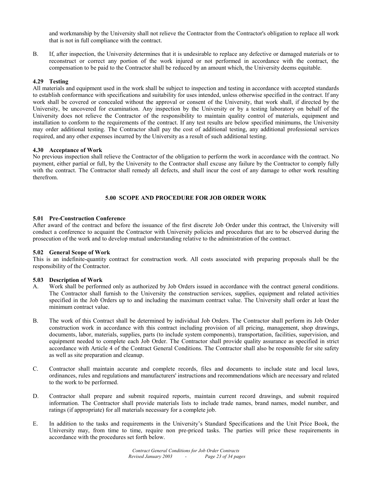and workmanship by the University shall not relieve the Contractor from the Contractor's obligation to replace all work that is not in full compliance with the contract.

B. If, after inspection, the University determines that it is undesirable to replace any defective or damaged materials or to reconstruct or correct any portion of the work injured or not performed in accordance with the contract, the compensation to be paid to the Contractor shall be reduced by an amount which, the University deems equitable.

# **4.29 Testing**

All materials and equipment used in the work shall be subject to inspection and testing in accordance with accepted standards to establish conformance with specifications and suitability for uses intended, unless otherwise specified in the contract. If any work shall be covered or concealed without the approval or consent of the University, that work shall, if directed by the University, be uncovered for examination. Any inspection by the University or by a testing laboratory on behalf of the University does not relieve the Contractor of the responsibility to maintain quality control of materials, equipment and installation to conform to the requirements of the contract. If any test results are below specified minimums, the University may order additional testing. The Contractor shall pay the cost of additional testing, any additional professional services required, and any other expenses incurred by the University as a result of such additional testing.

#### **4.30 Acceptance of Work**

No previous inspection shall relieve the Contractor of the obligation to perform the work in accordance with the contract. No payment, either partial or full, by the University to the Contractor shall excuse any failure by the Contractor to comply fully with the contract. The Contractor shall remedy all defects, and shall incur the cost of any damage to other work resulting therefrom.

# **5.00 SCOPE AND PROCEDURE FOR JOB ORDER WORK**

# **5.01 Pre-Construction Conference**

After award of the contract and before the issuance of the first discrete Job Order under this contract, the University will conduct a conference to acquaint the Contractor with University policies and procedures that are to be observed during the prosecution of the work and to develop mutual understanding relative to the administration of the contract.

#### **5.02 General Scope of Work**

This is an indefinite-quantity contract for construction work. All costs associated with preparing proposals shall be the responsibility of the Contractor.

#### **5.03 Description of Work**

- A. Work shall be performed only as authorized by Job Orders issued in accordance with the contract general conditions. The Contractor shall furnish to the University the construction services, supplies, equipment and related activities specified in the Job Orders up to and including the maximum contract value. The University shall order at least the minimum contract value.
- B. The work of this Contract shall be determined by individual Job Orders. The Contractor shall perform its Job Order construction work in accordance with this contract including provision of all pricing, management, shop drawings, documents, labor, materials, supplies, parts (to include system components), transportation, facilities, supervision, and equipment needed to complete each Job Order. The Contractor shall provide quality assurance as specified in strict accordance with Article 4 of the Contract General Conditions. The Contractor shall also be responsible for site safety as well as site preparation and cleanup.
- C. Contractor shall maintain accurate and complete records, files and documents to include state and local laws, ordinances, rules and regulations and manufacturers' instructions and recommendations which are necessary and related to the work to be performed.
- D. Contractor shall prepare and submit required reports, maintain current record drawings, and submit required information. The Contractor shall provide materials lists to include trade names, brand names, model number, and ratings (if appropriate) for all materials necessary for a complete job.
- E. In addition to the tasks and requirements in the University's Standard Specifications and the Unit Price Book, the University may, from time to time, require non pre-priced tasks. The parties will price these requirements in accordance with the procedures set forth below.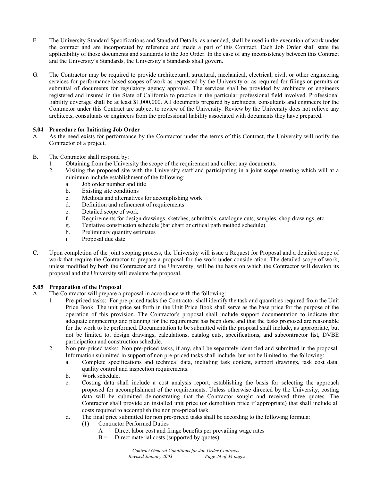- F. The University Standard Specifications and Standard Details, as amended, shall be used in the execution of work under the contract and are incorporated by reference and made a part of this Contract. Each Job Order shall state the applicability of those documents and standards to the Job Order. In the case of any inconsistency between this Contract and the University's Standards, the University's Standards shall govern.
- G. The Contractor may be required to provide architectural, structural, mechanical, electrical, civil, or other engineering services for performance-based scopes of work as requested by the University or as required for filings or permits or submittal of documents for regulatory agency approval. The services shall be provided by architects or engineers registered and insured in the State of California to practice in the particular professional field involved. Professional liability coverage shall be at least \$1,000,000. All documents prepared by architects, consultants and engineers for the Contractor under this Contract are subject to review of the University. Review by the University does not relieve any architects, consultants or engineers from the professional liability associated with documents they have prepared.

# **5.04 Procedure for Initiating Job Order**

- A. As the need exists for performance by the Contractor under the terms of this Contract, the University will notify the Contractor of a project.
- B. The Contractor shall respond by:
	- 1. Obtaining from the University the scope of the requirement and collect any documents.
	- 2. Visiting the proposed site with the University staff and participating in a joint scope meeting which will at a minimum include establishment of the following:
		- a. Job order number and title
		- b. Existing site conditions
		- c. Methods and alternatives for accomplishing work
		- d. Definition and refinement of requirements
		- e. Detailed scope of work
		- f. Requirements for design drawings, sketches, submittals, catalogue cuts, samples, shop drawings, etc.
		- g. Tentative construction schedule (bar chart or critical path method schedule)
		- h. Preliminary quantity estimates
		- i. Proposal due date
- C. Upon completion of the joint scoping process, the University will issue a Request for Proposal and a detailed scope of work that require the Contractor to prepare a proposal for the work under consideration. The detailed scope of work, unless modified by both the Contractor and the University, will be the basis on which the Contractor will develop its proposal and the University will evaluate the proposal.

# **5.05 Preparation of the Proposal**

- A. The Contractor will prepare a proposal in accordance with the following:
	- 1. Pre-priced tasks: For pre-priced tasks the Contractor shall identify the task and quantities required from the Unit Price Book. The unit price set forth in the Unit Price Book shall serve as the base price for the purpose of the operation of this provision. The Contractor's proposal shall include support documentation to indicate that adequate engineering and planning for the requirement has been done and that the tasks proposed are reasonable for the work to be performed. Documentation to be submitted with the proposal shall include, as appropriate, but not be limited to, design drawings, calculations, catalog cuts, specifications, and subcontractor list, DVBE participation and construction schedule.
	- 2. Non pre-priced tasks: Non pre-priced tasks, if any, shall be separately identified and submitted in the proposal. Information submitted in support of non pre-priced tasks shall include, but not be limited to, the following:
		- a. Complete specifications and technical data, including task content, support drawings, task cost data, quality control and inspection requirements.
		- b. Work schedule.
		- c. Costing data shall include a cost analysis report, establishing the basis for selecting the approach proposed for accomplishment of the requirements. Unless otherwise directed by the University, costing data will be submitted demonstrating that the Contractor sought and received three quotes. The Contractor shall provide an installed unit price (or demolition price if appropriate) that shall include all costs required to accomplish the non pre-priced task.
		- d. The final price submitted for non pre-priced tasks shall be according to the following formula:
			- (1) Contractor Performed Duties
				- $A =$  Direct labor cost and fringe benefits per prevailing wage rates
				- $B =$  Direct material costs (supported by quotes)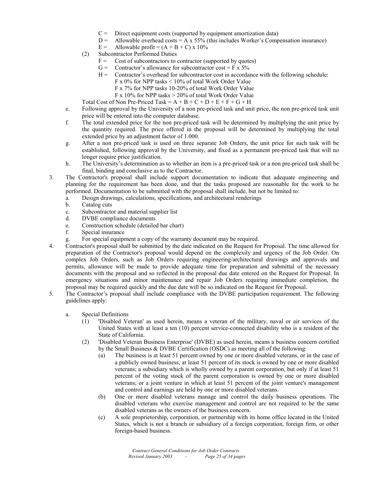- $C =$  Direct equipment costs (supported by equipment amortization data)
- $D =$  Allowable overhead costs = A x 55% (this includes Worker's Compensation insurance)
- E = Allowable profit =  $(A + B + C)$  x 10%
- (2) Subcontractor Performed Duties
	- $F =$  Cost of subcontractors to contractor (supported by quotes)
	- G = Contractor's allowance for subcontractor cost =  $\overline{F}$  x 5%
	- $H =$  Contractor's overhead for subcontractor cost in accordance with the following schedule:
		- F x 0% for NPP tasks < 10% of total Work Order Value
		- F x 7% for NPP tasks 10-20% of total Work Order Value
		- F x 10% for NPP tasks  $> 20\%$  of total Work Order Value
- Total Cost of Non Pre-Priced Task =  $A + B + C + D + E + F + G + H$
- e. Following approval by the University of a non pre-priced task and unit price, the non pre-priced task unit price will be entered into the computer database.
- f. The total extended price for the non pre-priced task will be determined by multiplying the unit price by the quantity required. The price offered in the proposal will be determined by multiplying the total extended price by an adjustment factor of 1.000.
- g. After a non pre-priced task is used on three separate Job Orders, the unit price for such task will be established, following approval by the University, and fixed as a permanent pre-priced task that will no longer require price justification.
- h. The University's determination as to whether an item is a pre-priced task or a non pre-priced task shall be final, binding and conclusive as to the Contractor.
- 3. The Contractor's proposal shall include support documentation to indicate that adequate engineering and planning for the requirement has been done, and that the tasks proposed are reasonable for the work to be performed. Documentation to be submitted with the proposal shall include, but not be limited to:
	- a. Design drawings, calculations, specifications, and architectural renderings
	- b. Catalog cuts
	- c. Subcontractor and material supplier list
	- d. DVBE compliance documents
	- e. Construction schedule (detailed bar chart)
	- f. Special insurance
	- g. For special equipment a copy of the warranty document may be required.
- 4. Contractor's proposal shall be submitted by the date indicated on the Request for Proposal. The time allowed for preparation of the Contractor's proposal would depend on the complexity and urgency of the Job Order. On complex Job Orders, such as Job Orders requiring engineering/architectural drawings and approvals and permits, allowance will be made to provide adequate time for preparation and submittal of the necessary documents with the proposal and so reflected in the proposal due date entered on the Request for Proposal. In emergency situations and minor maintenance and repair Job Orders requiring immediate completion, the proposal may be required quickly and the due date will be so indicated on the Request for Proposal.
- 5. The Contractor's proposal shall include compliance with the DVBE participation requirement. The following guidelines apply:
	- a. Special Definitions
		- (1) 'Disabled Veteran' as used herein, means a veteran of the military, naval or air services of the United States with at least a ten (10) percent service-connected disability who is a resident of the State of California.
		- (2) 'Disabled Veteran Business Enterprise' (DVBE) as used herein, means a business concern certified by the Small Business & DVBE Certification (OSDC) as meeting all of the following:
			- (a) The business is at least 51 percent owned by one or more disabled veterans, or in the case of a publicly owned business, at least 51 percent of its stock is owned by one or more disabled veterans; a subsidiary which is wholly owned by a parent corporation, but only if at least 51 percent of the voting stock of the parent corporation is owned by one or more disabled veterans; or a joint venture in which at least 51 percent of the joint venture's management and control and earnings are held by one or more disabled veterans.
			- (b) One or more disabled veterans manage and control the daily business operations. The disabled veterans who exercise management and control are not required to be the same disabled veterans as the owners of the business concern.
			- (c) A sole proprietorship, corporation, or partnership with its home office located in the United States, which is not a branch or subsidiary of a foreign corporation, foreign firm, or other foreign-based business.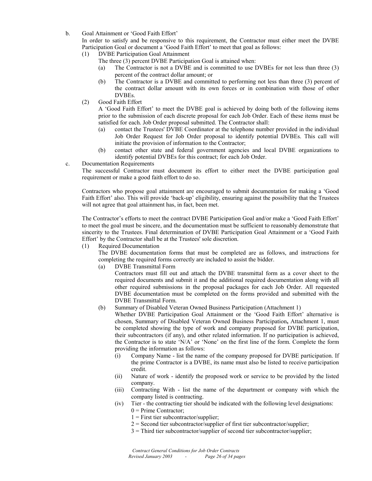b. Goal Attainment or 'Good Faith Effort'

 In order to satisfy and be responsive to this requirement, the Contractor must either meet the DVBE Participation Goal or document a 'Good Faith Effort' to meet that goal as follows:

- (1) DVBE Participation Goal Attainment
	- The three (3) percent DVBE Participation Goal is attained when:
	- (a) The Contractor is not a DVBE and is committed to use DVBEs for not less than three (3) percent of the contract dollar amount; or
	- (b) The Contractor is a DVBE and committed to performing not less than three (3) percent of the contract dollar amount with its own forces or in combination with those of other **DVBEs**.
- (2) Good Faith Effort

 A 'Good Faith Effort' to meet the DVBE goal is achieved by doing both of the following items prior to the submission of each discrete proposal for each Job Order. Each of these items must be satisfied for each. Job Order proposal submitted. The Contractor shall:

- (a) contact the Trustees' DVBE Coordinator at the telephone number provided in the individual Job Order Request for Job Order proposal to identify potential DVBEs. This call will initiate the provision of information to the Contractor;
- (b) contact other state and federal government agencies and local DVBE organizations to identify potential DVBEs for this contract; for each Job Order.
- c. Documentation Requirements

 The successful Contractor must document its effort to either meet the DVBE participation goal requirement or make a good faith effort to do so.

 Contractors who propose goal attainment are encouraged to submit documentation for making a 'Good Faith Effort' also. This will provide 'back-up' eligibility, ensuring against the possibility that the Trustees will not agree that goal attainment has, in fact, been met.

 The Contractor's efforts to meet the contract DVBE Participation Goal and/or make a 'Good Faith Effort' to meet the goal must be sincere, and the documentation must be sufficient to reasonably demonstrate that sincerity to the Trustees. Final determination of DVBE Participation Goal Attainment or a 'Good Faith Effort' by the Contractor shall be at the Trustees' sole discretion.

(1)Required Documentation

The DVBE documentation forms that must be completed are as follows, and instructions for completing the required forms correctly are included to assist the bidder.

(a) DVBE Transmittal Form

Contractors must fill out and attach the DVBE transmittal form as a cover sheet to the required documents and submit it and the additional required documentation along with all other required submissions in the proposal packages for each Job Order. All requested DVBE documentation must be completed on the forms provided and submitted with the DVBE Transmittal Form.

(b) Summary of Disabled Veteran Owned Business Participation (Attachment 1)

Whether DVBE Participation Goal Attainment or the 'Good Faith Effort' alternative is chosen, Summary of Disabled Veteran Owned Business Participation**,** Attachment 1, must be completed showing the type of work and company proposed for DVBE participation, their subcontractors (if any), and other related information. If no participation is achieved, the Contractor is to state 'N/A' or 'None' on the first line of the form. Complete the form providing the information as follows:

- (i) Company Name list the name of the company proposed for DVBE participation. If the prime Contractor is a DVBE, its name must also be listed to receive participation credit.
- (ii) Nature of work identify the proposed work or service to be provided by the listed company.
- (iii) Contracting With list the name of the department or company with which the company listed is contracting.
- (iv) Tier the contracting tier should be indicated with the following level designations:  $0 =$  Prime Contractor;
	- $1 =$  First tier subcontractor/supplier;
	- $2 =$  Second tier subcontractor/supplier of first tier subcontractor/supplier;
	- 3 = Third tier subcontractor/supplier of second tier subcontractor/supplier;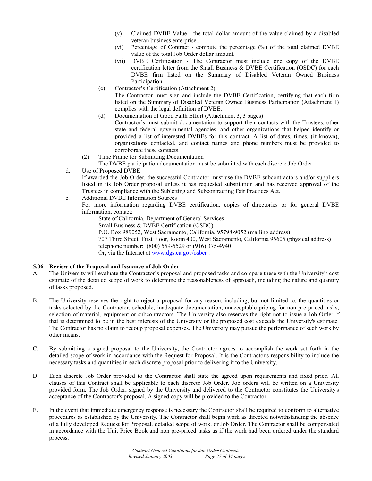- (v) Claimed DVBE Value the total dollar amount of the value claimed by a disabled veteran business enterprise..
- (vi) Percentage of Contract compute the percentage (%) of the total claimed DVBE value of the total Job Order dollar amount.
- (vii) DVBE Certification The Contractor must include one copy of the DVBE certification letter from the Small Business & DVBE Certification (OSDC) for each DVBE firm listed on the Summary of Disabled Veteran Owned Business Participation.
- (c) Contractor's Certification (Attachment 2) The Contractor must sign and include the DVBE Certification, certifying that each firm listed on the Summary of Disabled Veteran Owned Business Participation (Attachment 1) complies with the legal definition of DVBE.
- (d) Documentation of Good Faith Effort (Attachment 3, 3 pages) Contractor's must submit documentation to support their contacts with the Trustees, other state and federal governmental agencies, and other organizations that helped identify or provided a list of interested DVBEs for this contract. A list of dates, times, (if known), organizations contacted, and contact names and phone numbers must be provided to corroborate these contacts.
- (2) Time Frame for Submitting Documentation

The DVBE participation documentation must be submitted with each discrete Job Order.

- d. Use of Proposed DVBE If awarded the Job Order, the successful Contractor must use the DVBE subcontractors and/or suppliers listed in its Job Order proposal unless it has requested substitution and has received approval of the Trustees in compliance with the Subletting and Subcontracting Fair Practices Act.
- e. Additional DVBE Information Sources
	- For more information regarding DVBE certification, copies of directories or for general DVBE information, contact:
		- State of California, Department of General Services
		- Small Business & DVBE Certification (OSDC)
		- P.O. Box 989052, West Sacramento, California, 95798-9052 (mailing address) 707 Third Street, First Floor, Room 400, West Sacramento, California 95605 (physical address) telephone number: (800) 559-5529 or (916) 375-4940 Or, via the Internet at www.dgs.ca.gov/osbcr .

# **5.06 Review of the Proposal and Issuance of Job Order**

- A. The University will evaluate the Contractor's proposal and proposed tasks and compare these with the University's cost estimate of the detailed scope of work to determine the reasonableness of approach, including the nature and quantity of tasks proposed.
- B. The University reserves the right to reject a proposal for any reason, including, but not limited to, the quantities or tasks selected by the Contractor, schedule, inadequate documentation, unacceptable pricing for non pre-priced tasks, selection of material, equipment or subcontractors. The University also reserves the right not to issue a Job Order if that is determined to be in the best interests of the University or the proposed cost exceeds the University's estimate. The Contractor has no claim to recoup proposal expenses. The University may pursue the performance of such work by other means.
- C. By submitting a signed proposal to the University, the Contractor agrees to accomplish the work set forth in the detailed scope of work in accordance with the Request for Proposal. It is the Contractor's responsibility to include the necessary tasks and quantities in each discrete proposal prior to delivering it to the University.
- D. Each discrete Job Order provided to the Contractor shall state the agreed upon requirements and fixed price. All clauses of this Contract shall be applicable to each discrete Job Order. Job orders will be written on a University provided form. The Job Order, signed by the University and delivered to the Contractor constitutes the University's acceptance of the Contractor's proposal. A signed copy will be provided to the Contractor.
- E. In the event that immediate emergency response is necessary the Contractor shall be required to conform to alternative procedures as established by the University. The Contractor shall begin work as directed notwithstanding the absence of a fully developed Request for Proposal, detailed scope of work, or Job Order. The Contractor shall be compensated in accordance with the Unit Price Book and non pre-priced tasks as if the work had been ordered under the standard process.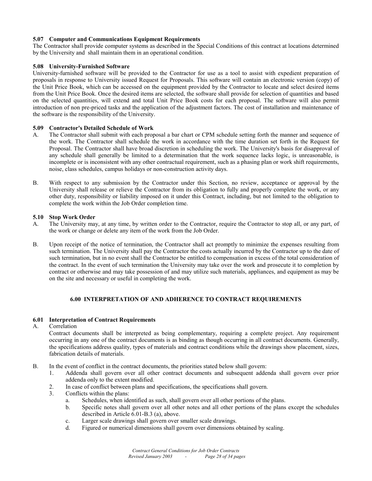# **5.07 Computer and Communications Equipment Requirements**

The Contractor shall provide computer systems as described in the Special Conditions of this contract at locations determined by the University and shall maintain them in an operational condition.

#### **5.08 University-Furnished Software**

University-furnished software will be provided to the Contractor for use as a tool to assist with expedient preparation of proposals in response to University issued Request for Proposals. This software will contain an electronic version (copy) of the Unit Price Book, which can be accessed on the equipment provided by the Contractor to locate and select desired items from the Unit Price Book. Once the desired items are selected, the software shall provide for selection of quantities and based on the selected quantities, will extend and total Unit Price Book costs for each proposal. The software will also permit introduction of non pre-priced tasks and the application of the adjustment factors. The cost of installation and maintenance of the software is the responsibility of the University.

#### **5.09 Contractor's Detailed Schedule of Work**

- A. The Contractor shall submit with each proposal a bar chart or CPM schedule setting forth the manner and sequence of the work. The Contractor shall schedule the work in accordance with the time duration set forth in the Request for Proposal. The Contractor shall have broad discretion in scheduling the work. The University's basis for disapproval of any schedule shall generally be limited to a determination that the work sequence lacks logic, is unreasonable, is incomplete or is inconsistent with any other contractual requirement, such as a phasing plan or work shift requirements, noise, class schedules, campus holidays or non-construction activity days.
- B. With respect to any submission by the Contractor under this Section, no review, acceptance or approval by the University shall release or relieve the Contractor from its obligation to fully and properly complete the work, or any other duty, responsibility or liability imposed on it under this Contract, including, but not limited to the obligation to complete the work within the Job Order completion time.

#### **5.10 Stop Work Order**

- A. The University may, at any time, by written order to the Contractor, require the Contractor to stop all, or any part, of the work or change or delete any item of the work from the Job Order.
- B. Upon receipt of the notice of termination, the Contractor shall act promptly to minimize the expenses resulting from such termination. The University shall pay the Contractor the costs actually incurred by the Contractor up to the date of such termination, but in no event shall the Contractor be entitled to compensation in excess of the total consideration of the contract. In the event of such termination the University may take over the work and prosecute it to completion by contract or otherwise and may take possession of and may utilize such materials, appliances, and equipment as may be on the site and necessary or useful in completing the work.

# **6.00 INTERPRETATION OF AND ADHERENCE TO CONTRACT REQUIREMENTS**

#### **6.01 Interpretation of Contract Requirements**

#### A. Correlation

 Contract documents shall be interpreted as being complementary, requiring a complete project. Any requirement occurring in any one of the contract documents is as binding as though occurring in all contract documents. Generally, the specifications address quality, types of materials and contract conditions while the drawings show placement, sizes, fabrication details of materials.

- B. In the event of conflict in the contract documents, the priorities stated below shall govern:
	- 1. Addenda shall govern over all other contract documents and subsequent addenda shall govern over prior addenda only to the extent modified.
	- 2. In case of conflict between plans and specifications, the specifications shall govern.
	- 3. Conflicts within the plans:
		- a. Schedules, when identified as such, shall govern over all other portions of the plans.
		- b. Specific notes shall govern over all other notes and all other portions of the plans except the schedules described in Article 6.01-B.3 (a), above.
		- c. Larger scale drawings shall govern over smaller scale drawings.
		- d. Figured or numerical dimensions shall govern over dimensions obtained by scaling.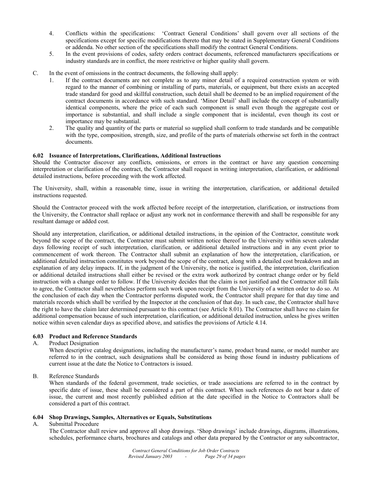- 4. Conflicts within the specifications: 'Contract General Conditions' shall govern over all sections of the specifications except for specific modifications thereto that may be stated in Supplementary General Conditions or addenda. No other section of the specifications shall modify the contract General Conditions.
- 5. In the event provisions of codes, safety orders contract documents, referenced manufacturers specifications or industry standards are in conflict, the more restrictive or higher quality shall govern.
- C. In the event of omissions in the contract documents, the following shall apply:
	- 1. If the contract documents are not complete as to any minor detail of a required construction system or with regard to the manner of combining or installing of parts, materials, or equipment, but there exists an accepted trade standard for good and skillful construction, such detail shall be deemed to be an implied requirement of the contract documents in accordance with such standard. 'Minor Detail' shall include the concept of substantially identical components, where the price of each such component is small even though the aggregate cost or importance is substantial, and shall include a single component that is incidental, even though its cost or importance may be substantial.
	- 2. The quality and quantity of the parts or material so supplied shall conform to trade standards and be compatible with the type, composition, strength, size, and profile of the parts of materials otherwise set forth in the contract documents.

# **6.02 Issuance of Interpretations, Clarifications, Additional Instructions**

Should the Contractor discover any conflicts, omissions, or errors in the contract or have any question concerning interpretation or clarification of the contract, the Contractor shall request in writing interpretation, clarification, or additional detailed instructions, before proceeding with the work affected.

The University, shall, within a reasonable time, issue in writing the interpretation, clarification, or additional detailed instructions requested.

Should the Contractor proceed with the work affected before receipt of the interpretation, clarification, or instructions from the University, the Contractor shall replace or adjust any work not in conformance therewith and shall be responsible for any resultant damage or added cost.

Should any interpretation, clarification, or additional detailed instructions, in the opinion of the Contractor, constitute work beyond the scope of the contract, the Contractor must submit written notice thereof to the University within seven calendar days following receipt of such interpretation, clarification, or additional detailed instructions and in any event prior to commencement of work thereon. The Contractor shall submit an explanation of how the interpretation, clarification, or additional detailed instruction constitutes work beyond the scope of the contract, along with a detailed cost breakdown and an explanation of any delay impacts. If, in the judgment of the University, the notice is justified, the interpretation, clarification or additional detailed instructions shall either be revised or the extra work authorized by contract change order or by field instruction with a change order to follow. If the University decides that the claim is not justified and the Contractor still fails to agree, the Contractor shall nevertheless perform such work upon receipt from the University of a written order to do so. At the conclusion of each day when the Contractor performs disputed work, the Contractor shall prepare for that day time and materials records which shall be verified by the Inspector at the conclusion of that day. In such case, the Contractor shall have the right to have the claim later determined pursuant to this contract (see Article 8.01). The Contractor shall have no claim for additional compensation because of such interpretation, clarification, or additional detailed instruction, unless he gives written notice within seven calendar days as specified above, and satisfies the provisions of Article 4.14.

# **6.03 Product and Reference Standards**

#### A. Product Designation

 When descriptive catalog designations, including the manufacturer's name, product brand name, or model number are referred to in the contract, such designations shall be considered as being those found in industry publications of current issue at the date the Notice to Contractors is issued.

# B. Reference Standards

 When standards of the federal government, trade societies, or trade associations are referred to in the contract by specific date of issue, these shall be considered a part of this contract. When such references do not bear a date of issue, the current and most recently published edition at the date specified in the Notice to Contractors shall be considered a part of this contract.

# **6.04 Shop Drawings, Samples, Alternatives or Equals, Substitutions**

#### A. Submittal Procedure

 The Contractor shall review and approve all shop drawings. 'Shop drawings' include drawings, diagrams, illustrations, schedules, performance charts, brochures and catalogs and other data prepared by the Contractor or any subcontractor,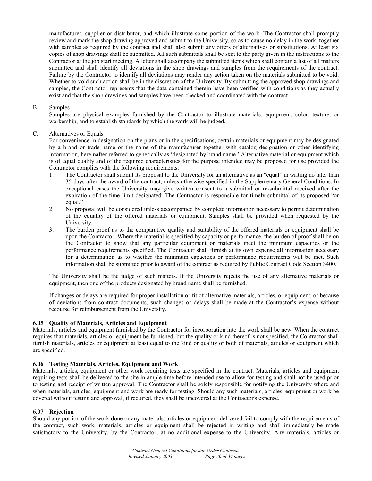manufacturer, supplier or distributor, and which illustrate some portion of the work. The Contractor shall promptly review and mark the shop drawing approved and submit to the University, so as to cause no delay in the work, together with samples as required by the contract and shall also submit any offers of alternatives or substitutions. At least six copies of shop drawings shall be submitted. All such submittals shall be sent to the party given in the instructions to the Contractor at the job start meeting. A letter shall accompany the submitted items which shall contain a list of all matters submitted and shall identify all deviations in the shop drawings and samples from the requirements of the contract. Failure by the Contractor to identify all deviations may render any action taken on the materials submitted to be void. Whether to void such action shall be in the discretion of the University. By submitting the approved shop drawings and samples, the Contractor represents that the data contained therein have been verified with conditions as they actually exist and that the shop drawings and samples have been checked and coordinated with the contract.

#### B. Samples

 Samples are physical examples furnished by the Contractor to illustrate materials, equipment, color, texture, or workership, and to establish standards by which the work will be judged.

# C. Alternatives or Equals

 For convenience in designation on the plans or in the specifications, certain materials or equipment may be designated by a brand or trade name or the name of the manufacturer together with catalog designation or other identifying information, hereinafter referred to generically as 'designated by brand name.' Alternative material or equipment which is of equal quality and of the required characteristics for the purpose intended may be proposed for use provided the Contractor complies with the following requirements:

- 1. The Contractor shall submit its proposal to the University for an alternative as an "equal" in writing no later than 35 days after the award of the contract, unless otherwise specified in the Supplementary General Conditions. In exceptional cases the University may give written consent to a submittal or re-submittal received after the expiration of the time limit designated. The Contractor is responsible for timely submittal of its proposed "or equal."
- 2. No proposal will be considered unless accompanied by complete information necessary to permit determination of the equality of the offered materials or equipment. Samples shall be provided when requested by the University.
- 3. The burden proof as to the comparative quality and suitability of the offered materials or equipment shall be upon the Contractor. Where the material is specified by capacity or performance, the burden of proof shall be on the Contractor to show that any particular equipment or materials meet the minimum capacities or the performance requirements specified. The Contractor shall furnish at its own expense all information necessary for a determination as to whether the minimum capacities or performance requirements will be met. Such information shall be submitted prior to award of the contract as required by Public Contract Code Section 3400.

The University shall be the judge of such matters. If the University rejects the use of any alternative materials or equipment, then one of the products designated by brand name shall be furnished.

 If changes or delays are required for proper installation or fit of alternative materials, articles, or equipment, or because of deviations from contract documents, such changes or delays shall be made at the Contractor's expense without recourse for reimbursement from the University.

#### **6.05 Quality of Materials, Articles and Equipment**

Materials, articles and equipment furnished by the Contractor for incorporation into the work shall be new. When the contract requires that materials, articles or equipment be furnished, but the quality or kind thereof is not specified, the Contractor shall furnish materials, articles or equipment at least equal to the kind or quality or both of materials, articles or equipment which are specified.

#### **6.06 Testing Materials, Articles, Equipment and Work**

Materials, articles, equipment or other work requiring tests are specified in the contract. Materials, articles and equipment requiring tests shall be delivered to the site in ample time before intended use to allow for testing and shall not be used prior to testing and receipt of written approval. The Contractor shall be solely responsible for notifying the University where and when materials, articles, equipment and work are ready for testing. Should any such materials, articles, equipment or work be covered without testing and approval, if required, they shall be uncovered at the Contractor's expense.

#### **6.07 Rejection**

Should any portion of the work done or any materials, articles or equipment delivered fail to comply with the requirements of the contract, such work, materials, articles or equipment shall be rejected in writing and shall immediately be made satisfactory to the University, by the Contractor, at no additional expense to the University. Any materials, articles or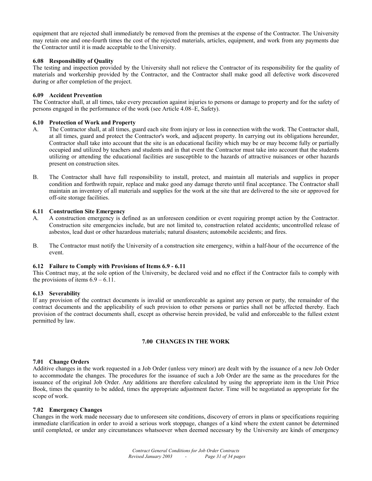equipment that are rejected shall immediately be removed from the premises at the expense of the Contractor. The University may retain one and one-fourth times the cost of the rejected materials, articles, equipment, and work from any payments due the Contractor until it is made acceptable to the University.

#### **6.08 Responsibility of Quality**

The testing and inspection provided by the University shall not relieve the Contractor of its responsibility for the quality of materials and workership provided by the Contractor, and the Contractor shall make good all defective work discovered during or after completion of the project.

# **6.09 Accident Prevention**

The Contractor shall, at all times, take every precaution against injuries to persons or damage to property and for the safety of persons engaged in the performance of the work (see Article 4.08–E, Safety).

# **6.10 Protection of Work and Property**

- A. The Contractor shall, at all times, guard each site from injury or loss in connection with the work. The Contractor shall, at all times, guard and protect the Contractor's work, and adjacent property. In carrying out its obligations hereunder, Contractor shall take into account that the site is an educational facility which may be or may become fully or partially occupied and utilized by teachers and students and in that event the Contractor must take into account that the students utilizing or attending the educational facilities are susceptible to the hazards of attractive nuisances or other hazards present on construction sites.
- B. The Contractor shall have full responsibility to install, protect, and maintain all materials and supplies in proper condition and forthwith repair, replace and make good any damage thereto until final acceptance. The Contractor shall maintain an inventory of all materials and supplies for the work at the site that are delivered to the site or approved for off-site storage facilities.

#### **6.11 Construction Site Emergency**

- A. A construction emergency is defined as an unforeseen condition or event requiring prompt action by the Contractor. Construction site emergencies include, but are not limited to, construction related accidents; uncontrolled release of asbestos, lead dust or other hazardous materials; natural disasters; automobile accidents; and fires.
- B. The Contractor must notify the University of a construction site emergency, within a half-hour of the occurrence of the event.

#### **6.12 Failure to Comply with Provisions of Items 6.9 - 6.11**

This Contract may, at the sole option of the University, be declared void and no effect if the Contractor fails to comply with the provisions of items  $6.9 - 6.11$ .

# **6.13 Severability**

If any provision of the contract documents is invalid or unenforceable as against any person or party, the remainder of the contract documents and the applicability of such provision to other persons or parties shall not be affected thereby. Each provision of the contract documents shall, except as otherwise herein provided, be valid and enforceable to the fullest extent permitted by law.

# **7.00 CHANGES IN THE WORK**

#### **7.01 Change Orders**

Additive changes in the work requested in a Job Order (unless very minor) are dealt with by the issuance of a new Job Order to accommodate the changes. The procedures for the issuance of such a Job Order are the same as the procedures for the issuance of the original Job Order. Any additions are therefore calculated by using the appropriate item in the Unit Price Book, times the quantity to be added, times the appropriate adjustment factor. Time will be negotiated as appropriate for the scope of work.

#### **7.02 Emergency Changes**

Changes in the work made necessary due to unforeseen site conditions, discovery of errors in plans or specifications requiring immediate clarification in order to avoid a serious work stoppage, changes of a kind where the extent cannot be determined until completed, or under any circumstances whatsoever when deemed necessary by the University are kinds of emergency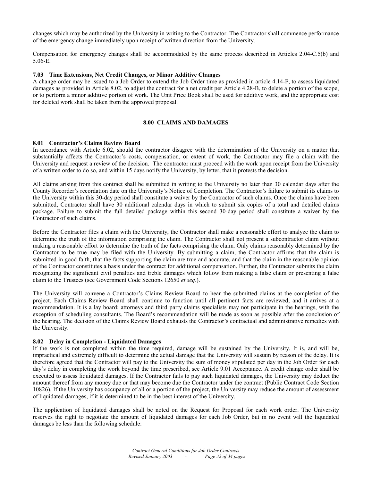changes which may be authorized by the University in writing to the Contractor. The Contractor shall commence performance of the emergency change immediately upon receipt of written direction from the University.

Compensation for emergency changes shall be accommodated by the same process described in Articles 2.04-C.5(b) and 5.06-E.

#### **7.03 Time Extensions, Net Credit Changes, or Minor Additive Changes**

A change order may be issued to a Job Order to extend the Job Order time as provided in article 4.14-F, to assess liquidated damages as provided in Article 8.02, to adjust the contract for a net credit per Article 4.28-B, to delete a portion of the scope, or to perform a minor additive portion of work. The Unit Price Book shall be used for additive work, and the appropriate cost for deleted work shall be taken from the approved proposal.

#### **8.00 CLAIMS AND DAMAGES**

#### **8.01 Contractor's Claims Review Board**

In accordance with Article 6.02, should the contractor disagree with the determination of the University on a matter that substantially affects the Contractor's costs, compensation, or extent of work, the Contractor may file a claim with the University and request a review of the decision. The contractor must proceed with the work upon receipt from the University of a written order to do so, and within 15 days notify the University, by letter, that it protests the decision.

All claims arising from this contract shall be submitted in writing to the University no later than 30 calendar days after the County Recorder's recordation date on the University's Notice of Completion. The Contractor's failure to submit its claims to the University within this 30-day period shall constitute a waiver by the Contractor of such claims. Once the claims have been submitted, Contractor shall have 30 additional calendar days in which to submit six copies of a total and detailed claims package. Failure to submit the full detailed package within this second 30-day period shall constitute a waiver by the Contractor of such claims.

Before the Contractor files a claim with the University, the Contractor shall make a reasonable effort to analyze the claim to determine the truth of the information comprising the claim. The Contractor shall not present a subcontractor claim without making a reasonable effort to determine the truth of the facts comprising the claim. Only claims reasonably determined by the Contractor to be true may be filed with the University. By submitting a claim, the Contractor affirms that the claim is submitted in good faith, that the facts supporting the claim are true and accurate, and that the claim in the reasonable opinion of the Contractor constitutes a basis under the contract for additional compensation. Further, the Contractor submits the claim recognizing the significant civil penalties and treble damages which follow from making a false claim or presenting a false claim to the Trustees (see Government Code Sections 12650 *et seq*.).

The University will convene a Contractor's Claims Review Board to hear the submitted claims at the completion of the project. Each Claims Review Board shall continue to function until all pertinent facts are reviewed, and it arrives at a recommendation. It is a lay board; attorneys and third party claims specialists may not participate in the hearings, with the exception of scheduling consultants. The Board's recommendation will be made as soon as possible after the conclusion of the hearing. The decision of the Claims Review Board exhausts the Contractor's contractual and administrative remedies with the University.

#### **8.02 Delay in Completion - Liquidated Damages**

If the work is not completed within the time required, damage will be sustained by the University. It is, and will be, impractical and extremely difficult to determine the actual damage that the University will sustain by reason of the delay. It is therefore agreed that the Contractor will pay to the University the sum of money stipulated per day in the Job Order for each day's delay in completing the work beyond the time prescribed, see Article 9.01 Acceptance. A credit change order shall be executed to assess liquidated damages. If the Contractor fails to pay such liquidated damages, the University may deduct the amount thereof from any money due or that may become due the Contractor under the contract (Public Contract Code Section 10826). If the University has occupancy of all or a portion of the project, the University may reduce the amount of assessment of liquidated damages, if it is determined to be in the best interest of the University.

The application of liquidated damages shall be noted on the Request for Proposal for each work order. The University reserves the right to negotiate the amount of liquidated damages for each Job Order, but in no event will the liquidated damages be less than the following schedule: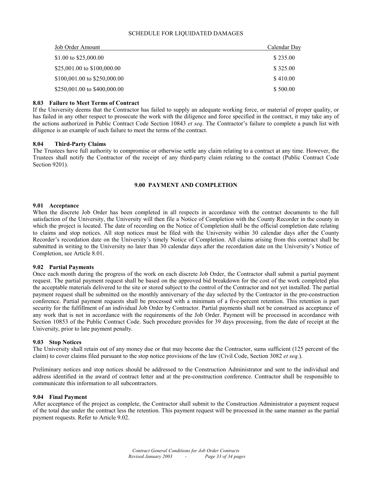# SCHEDULE FOR LIQUIDATED DAMAGES

| Job Order Amount             | Calendar Day |
|------------------------------|--------------|
| \$1.00 to \$25,000.00        | \$235.00     |
| \$25,001.00 to \$100,000.00  | \$325.00     |
| \$100,001.00 to \$250,000.00 | \$410.00     |
| \$250,001.00 to \$400,000.00 | \$500.00     |

# **8.03 Failure to Meet Terms of Contract**

If the University deems that the Contractor has failed to supply an adequate working force, or material of proper quality, or has failed in any other respect to prosecute the work with the diligence and force specified in the contract, it may take any of the actions authorized in Public Contract Code Section 10843 *et seq*. The Contractor's failure to complete a punch list with diligence is an example of such failure to meet the terms of the contract.

# **8.04 Third-Party Claims**

The Trustees have full authority to compromise or otherwise settle any claim relating to a contract at any time. However, the Trustees shall notify the Contractor of the receipt of any third-party claim relating to the contact (Public Contract Code Section 9201).

# **9.00 PAYMENT AND COMPLETION**

#### **9.01 Acceptance**

When the discrete Job Order has been completed in all respects in accordance with the contract documents to the full satisfaction of the University, the University will then file a Notice of Completion with the County Recorder in the county in which the project is located. The date of recording on the Notice of Completion shall be the official completion date relating to claims and stop notices. All stop notices must be filed with the University within 30 calendar days after the County Recorder's recordation date on the University's timely Notice of Completion. All claims arising from this contract shall be submitted in writing to the University no later than 30 calendar days after the recordation date on the University's Notice of Completion, see Article 8.01.

#### **9.02 Partial Payments**

Once each month during the progress of the work on each discrete Job Order, the Contractor shall submit a partial payment request. The partial payment request shall be based on the approved bid breakdown for the cost of the work completed plus the acceptable materials delivered to the site or stored subject to the control of the Contractor and not yet installed. The partial payment request shall be submitted on the monthly anniversary of the day selected by the Contractor in the pre-construction conference. Partial payment requests shall be processed with a minimum of a five-percent retention. This retention is part security for the fulfillment of an individual Job Order by Contractor. Partial payments shall not be construed as acceptance of any work that is not in accordance with the requirements of the Job Order. Payment will be processed in accordance with Section 10853 of the Public Contract Code. Such procedure provides for 39 days processing, from the date of receipt at the University, prior to late payment penalty.

#### **9.03 Stop Notices**

The University shall retain out of any money due or that may become due the Contractor, sums sufficient (125 percent of the claim) to cover claims filed pursuant to the stop notice provisions of the law (Civil Code, Section 3082 *et seq.*).

Preliminary notices and stop notices should be addressed to the Construction Administrator and sent to the individual and address identified in the award of contract letter and at the pre-construction conference. Contractor shall be responsible to communicate this information to all subcontractors.

#### **9.04 Final Payment**

After acceptance of the project as complete, the Contractor shall submit to the Construction Administrator a payment request of the total due under the contract less the retention. This payment request will be processed in the same manner as the partial payment requests. Refer to Article 9.02.